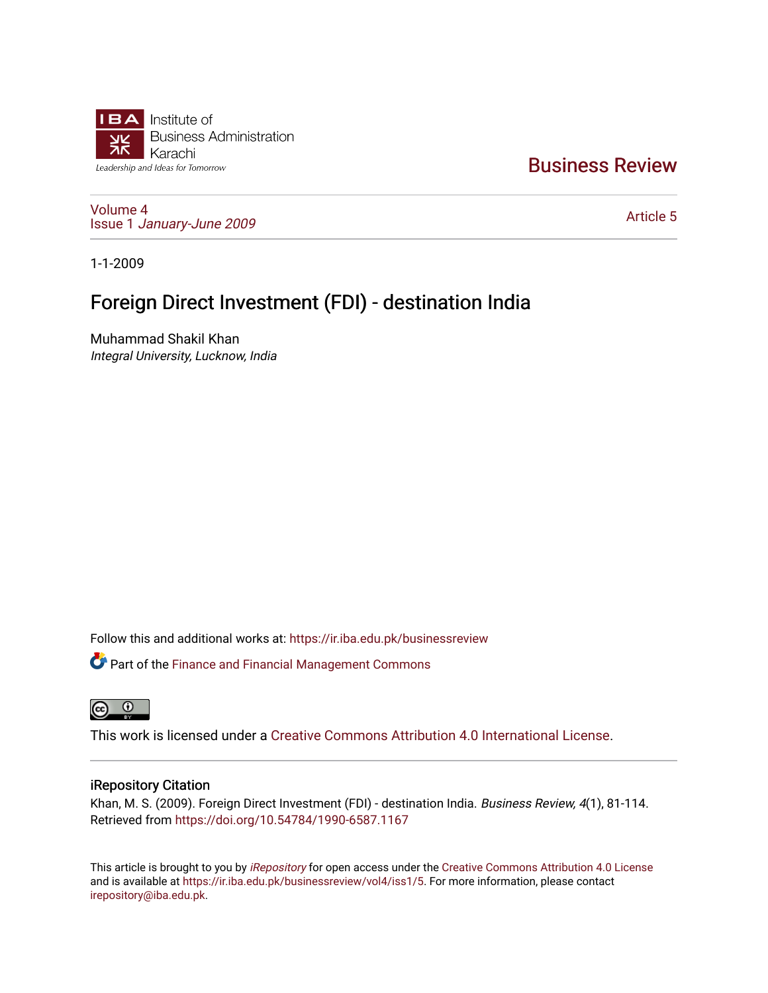

# [Business Review](https://ir.iba.edu.pk/businessreview)

[Volume 4](https://ir.iba.edu.pk/businessreview/vol4) Issue 1 [January-June 2009](https://ir.iba.edu.pk/businessreview/vol4/iss1) 

[Article 5](https://ir.iba.edu.pk/businessreview/vol4/iss1/5) 

1-1-2009

# Foreign Direct Investment (FDI) - destination India

Muhammad Shakil Khan Integral University, Lucknow, India

Follow this and additional works at: [https://ir.iba.edu.pk/businessreview](https://ir.iba.edu.pk/businessreview?utm_source=ir.iba.edu.pk%2Fbusinessreview%2Fvol4%2Fiss1%2F5&utm_medium=PDF&utm_campaign=PDFCoverPages) 

**C** Part of the Finance and Financial Management Commons



This work is licensed under a [Creative Commons Attribution 4.0 International License](https://creativecommons.org/licenses/by/4.0/).

## iRepository Citation

Khan, M. S. (2009). Foreign Direct Investment (FDI) - destination India. Business Review, 4(1), 81-114. Retrieved from <https://doi.org/10.54784/1990-6587.1167>

This article is brought to you by *[iRepository](https://ir.iba.edu.pk/)* for open access under the Creative Commons Attribution 4.0 License and is available at [https://ir.iba.edu.pk/businessreview/vol4/iss1/5.](https://ir.iba.edu.pk/businessreview/vol4/iss1/5) For more information, please contact [irepository@iba.edu.pk.](mailto:irepository@iba.edu.pk)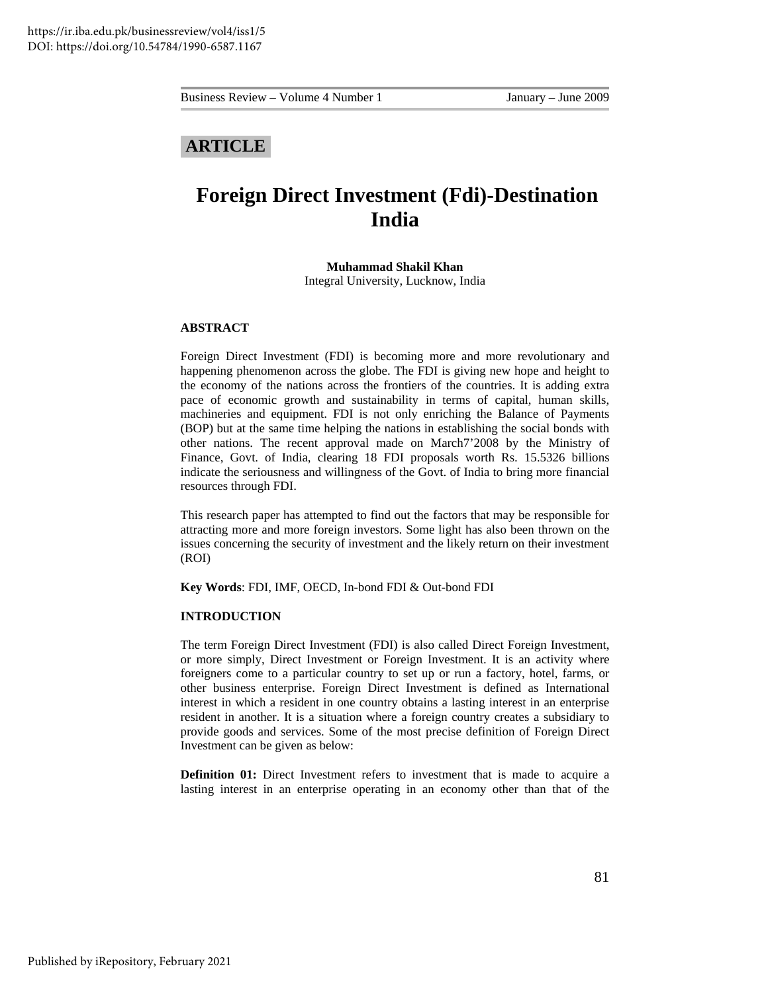## **ARTICLE**

# **Foreign Direct Investment (Fdi)-Destination India**

**Muhammad Shakil Khan**  Integral University, Lucknow, India

#### **ABSTRACT**

Foreign Direct Investment (FDI) is becoming more and more revolutionary and happening phenomenon across the globe. The FDI is giving new hope and height to the economy of the nations across the frontiers of the countries. It is adding extra pace of economic growth and sustainability in terms of capital, human skills, machineries and equipment. FDI is not only enriching the Balance of Payments (BOP) but at the same time helping the nations in establishing the social bonds with other nations. The recent approval made on March7'2008 by the Ministry of Finance, Govt. of India, clearing 18 FDI proposals worth Rs. 15.5326 billions indicate the seriousness and willingness of the Govt. of India to bring more financial resources through FDI.

This research paper has attempted to find out the factors that may be responsible for attracting more and more foreign investors. Some light has also been thrown on the issues concerning the security of investment and the likely return on their investment (ROI)

**Key Words**: FDI, IMF, OECD, In-bond FDI & Out-bond FDI

## **INTRODUCTION**

The term Foreign Direct Investment (FDI) is also called Direct Foreign Investment, or more simply, Direct Investment or Foreign Investment. It is an activity where foreigners come to a particular country to set up or run a factory, hotel, farms, or other business enterprise. Foreign Direct Investment is defined as International interest in which a resident in one country obtains a lasting interest in an enterprise resident in another. It is a situation where a foreign country creates a subsidiary to provide goods and services. Some of the most precise definition of Foreign Direct Investment can be given as below:

**Definition 01:** Direct Investment refers to investment that is made to acquire a lasting interest in an enterprise operating in an economy other than that of the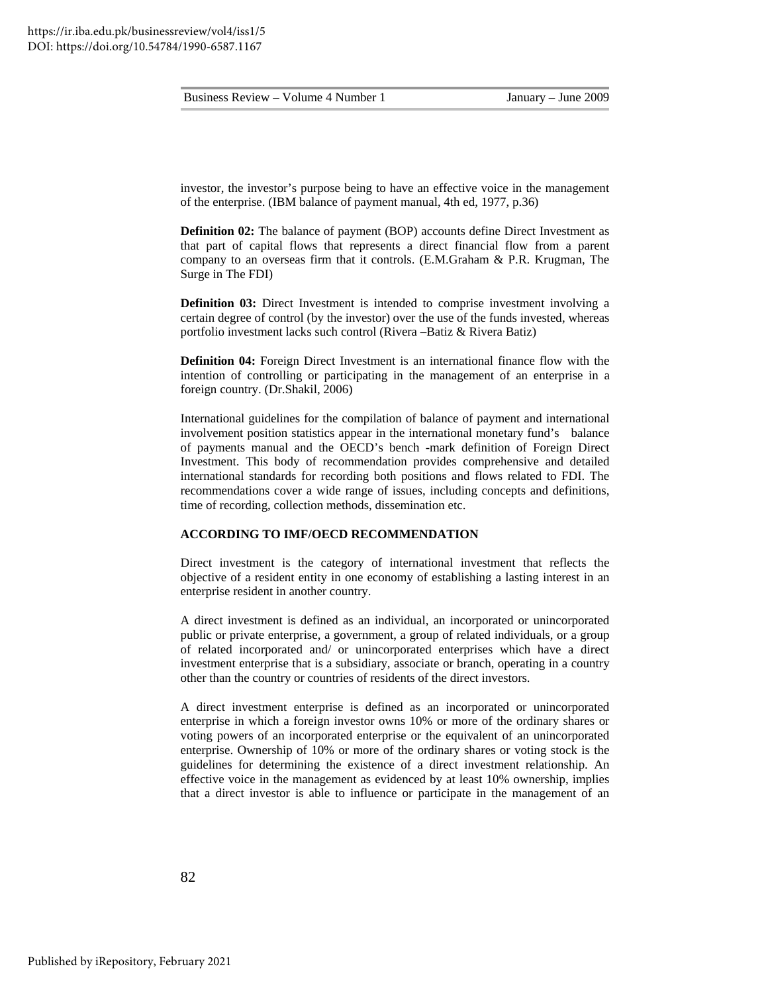investor, the investor's purpose being to have an effective voice in the management of the enterprise. (IBM balance of payment manual, 4th ed, 1977, p.36)

**Definition 02:** The balance of payment (BOP) accounts define Direct Investment as that part of capital flows that represents a direct financial flow from a parent company to an overseas firm that it controls. (E.M.Graham & P.R. Krugman, The Surge in The FDI)

**Definition 03:** Direct Investment is intended to comprise investment involving a certain degree of control (by the investor) over the use of the funds invested, whereas portfolio investment lacks such control (Rivera –Batiz & Rivera Batiz)

**Definition 04:** Foreign Direct Investment is an international finance flow with the intention of controlling or participating in the management of an enterprise in a foreign country. (Dr.Shakil, 2006)

International guidelines for the compilation of balance of payment and international involvement position statistics appear in the international monetary fund's balance of payments manual and the OECD's bench -mark definition of Foreign Direct Investment. This body of recommendation provides comprehensive and detailed international standards for recording both positions and flows related to FDI. The recommendations cover a wide range of issues, including concepts and definitions, time of recording, collection methods, dissemination etc.

#### **ACCORDING TO IMF/OECD RECOMMENDATION**

Direct investment is the category of international investment that reflects the objective of a resident entity in one economy of establishing a lasting interest in an enterprise resident in another country.

A direct investment is defined as an individual, an incorporated or unincorporated public or private enterprise, a government, a group of related individuals, or a group of related incorporated and/ or unincorporated enterprises which have a direct investment enterprise that is a subsidiary, associate or branch, operating in a country other than the country or countries of residents of the direct investors.

A direct investment enterprise is defined as an incorporated or unincorporated enterprise in which a foreign investor owns 10% or more of the ordinary shares or voting powers of an incorporated enterprise or the equivalent of an unincorporated enterprise. Ownership of 10% or more of the ordinary shares or voting stock is the guidelines for determining the existence of a direct investment relationship. An effective voice in the management as evidenced by at least 10% ownership, implies that a direct investor is able to influence or participate in the management of an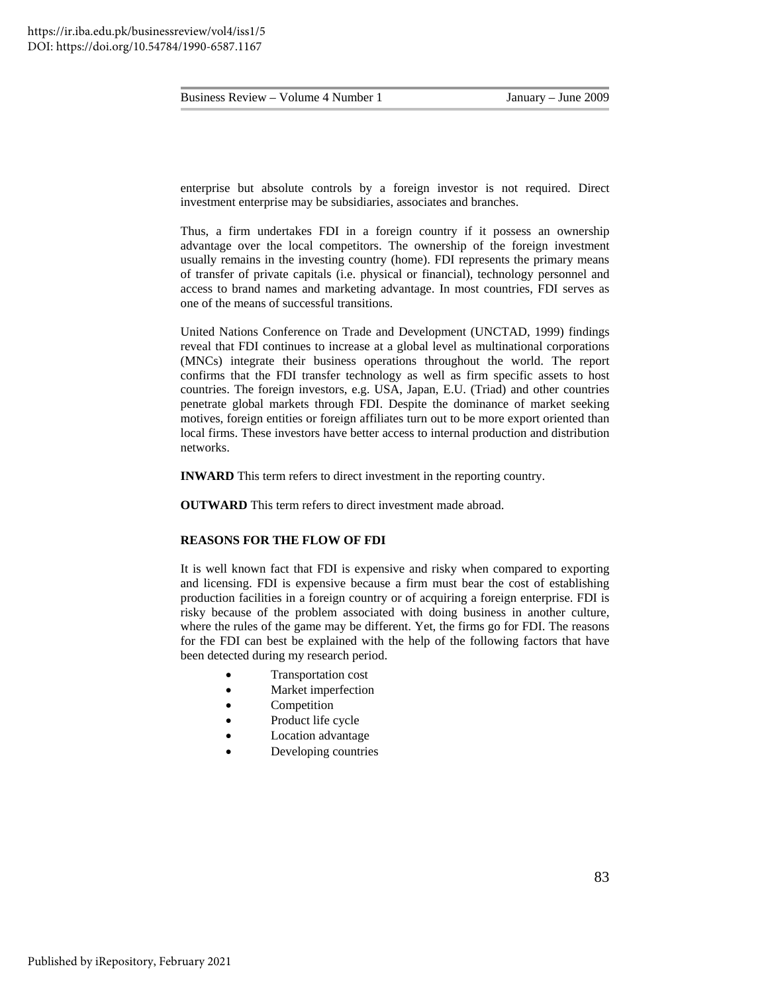enterprise but absolute controls by a foreign investor is not required. Direct investment enterprise may be subsidiaries, associates and branches.

Thus, a firm undertakes FDI in a foreign country if it possess an ownership advantage over the local competitors. The ownership of the foreign investment usually remains in the investing country (home). FDI represents the primary means of transfer of private capitals (i.e. physical or financial), technology personnel and access to brand names and marketing advantage. In most countries, FDI serves as one of the means of successful transitions.

United Nations Conference on Trade and Development (UNCTAD, 1999) findings reveal that FDI continues to increase at a global level as multinational corporations (MNCs) integrate their business operations throughout the world. The report confirms that the FDI transfer technology as well as firm specific assets to host countries. The foreign investors, e.g. USA, Japan, E.U. (Triad) and other countries penetrate global markets through FDI. Despite the dominance of market seeking motives, foreign entities or foreign affiliates turn out to be more export oriented than local firms. These investors have better access to internal production and distribution networks.

**INWARD** This term refers to direct investment in the reporting country.

**OUTWARD** This term refers to direct investment made abroad.

#### **REASONS FOR THE FLOW OF FDI**

It is well known fact that FDI is expensive and risky when compared to exporting and licensing. FDI is expensive because a firm must bear the cost of establishing production facilities in a foreign country or of acquiring a foreign enterprise. FDI is risky because of the problem associated with doing business in another culture, where the rules of the game may be different. Yet, the firms go for FDI. The reasons for the FDI can best be explained with the help of the following factors that have been detected during my research period.

- Transportation cost
- Market imperfection
- **Competition**
- Product life cycle
- Location advantage
- Developing countries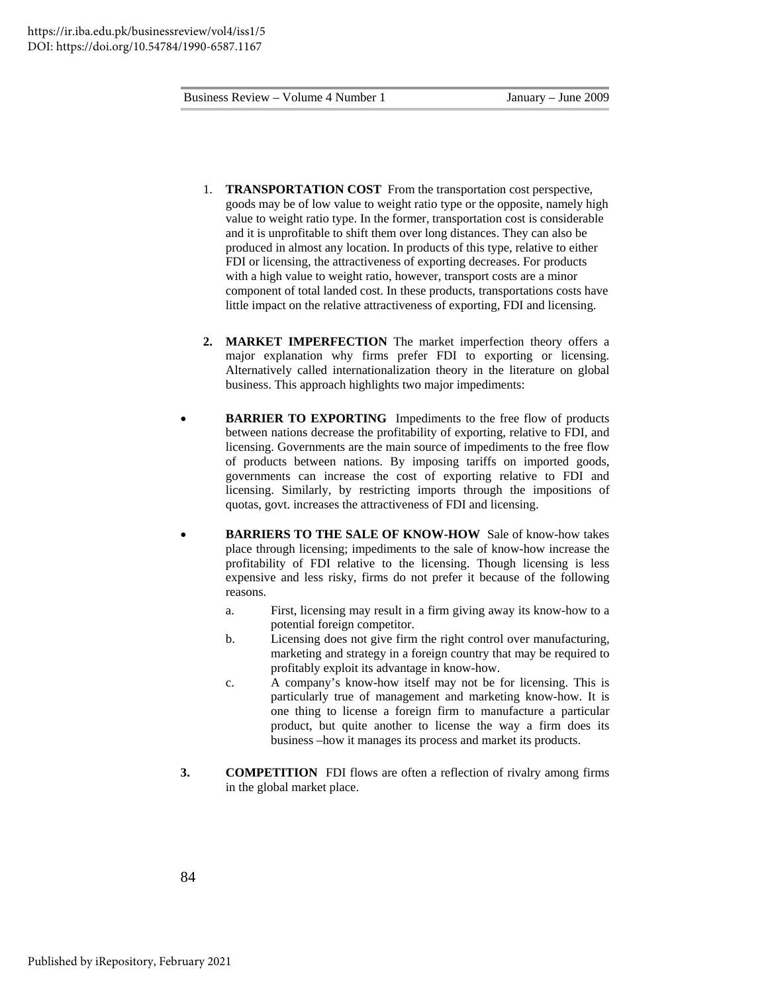- 1. **TRANSPORTATION COST** From the transportation cost perspective, goods may be of low value to weight ratio type or the opposite, namely high value to weight ratio type. In the former, transportation cost is considerable and it is unprofitable to shift them over long distances. They can also be produced in almost any location. In products of this type, relative to either FDI or licensing, the attractiveness of exporting decreases. For products with a high value to weight ratio, however, transport costs are a minor component of total landed cost. In these products, transportations costs have little impact on the relative attractiveness of exporting, FDI and licensing.
- **2. MARKET IMPERFECTION** The market imperfection theory offers a major explanation why firms prefer FDI to exporting or licensing. Alternatively called internationalization theory in the literature on global business. This approach highlights two major impediments:
- **BARRIER TO EXPORTING** Impediments to the free flow of products between nations decrease the profitability of exporting, relative to FDI, and licensing. Governments are the main source of impediments to the free flow of products between nations. By imposing tariffs on imported goods, governments can increase the cost of exporting relative to FDI and licensing. Similarly, by restricting imports through the impositions of quotas, govt. increases the attractiveness of FDI and licensing.
- **BARRIERS TO THE SALE OF KNOW-HOW** Sale of know-how takes place through licensing; impediments to the sale of know-how increase the profitability of FDI relative to the licensing. Though licensing is less expensive and less risky, firms do not prefer it because of the following reasons.
	- a. First, licensing may result in a firm giving away its know-how to a potential foreign competitor.
	- b. Licensing does not give firm the right control over manufacturing, marketing and strategy in a foreign country that may be required to profitably exploit its advantage in know-how.
	- c. A company's know-how itself may not be for licensing. This is particularly true of management and marketing know-how. It is one thing to license a foreign firm to manufacture a particular product, but quite another to license the way a firm does its business –how it manages its process and market its products.
- **3. COMPETITION** FDI flows are often a reflection of rivalry among firms in the global market place.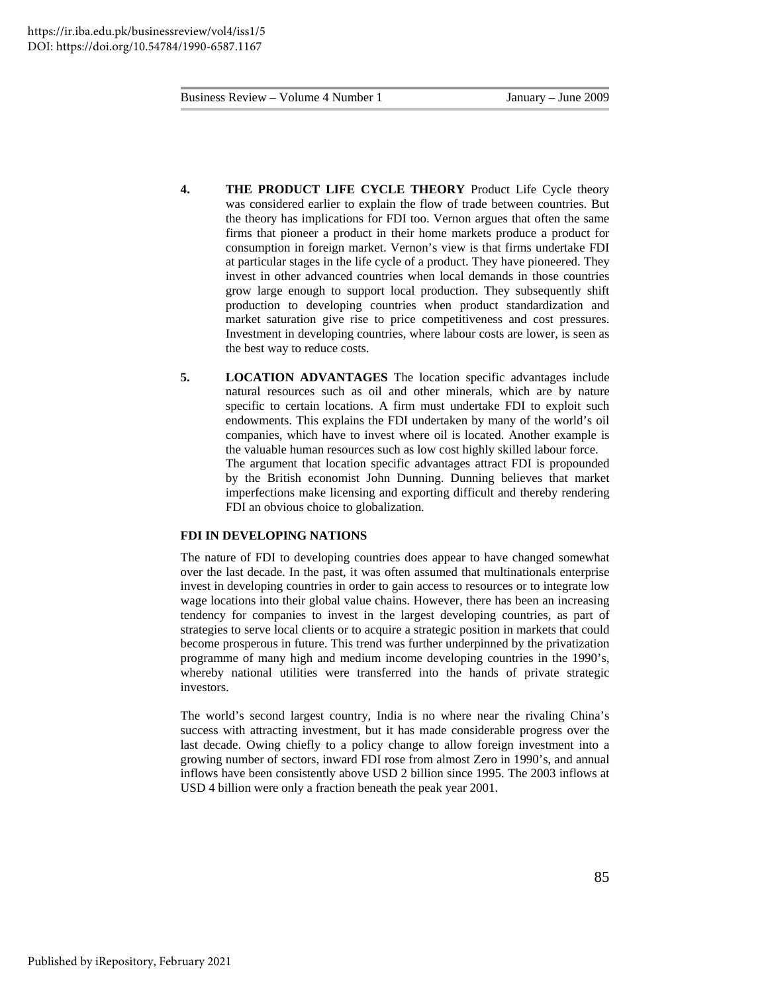- **4. THE PRODUCT LIFE CYCLE THEORY** Product Life Cycle theory was considered earlier to explain the flow of trade between countries. But the theory has implications for FDI too. Vernon argues that often the same firms that pioneer a product in their home markets produce a product for consumption in foreign market. Vernon's view is that firms undertake FDI at particular stages in the life cycle of a product. They have pioneered. They invest in other advanced countries when local demands in those countries grow large enough to support local production. They subsequently shift production to developing countries when product standardization and market saturation give rise to price competitiveness and cost pressures. Investment in developing countries, where labour costs are lower, is seen as the best way to reduce costs.
- **5. LOCATION ADVANTAGES** The location specific advantages include natural resources such as oil and other minerals, which are by nature specific to certain locations. A firm must undertake FDI to exploit such endowments. This explains the FDI undertaken by many of the world's oil companies, which have to invest where oil is located. Another example is the valuable human resources such as low cost highly skilled labour force. The argument that location specific advantages attract FDI is propounded by the British economist John Dunning. Dunning believes that market imperfections make licensing and exporting difficult and thereby rendering FDI an obvious choice to globalization.

#### **FDI IN DEVELOPING NATIONS**

The nature of FDI to developing countries does appear to have changed somewhat over the last decade. In the past, it was often assumed that multinationals enterprise invest in developing countries in order to gain access to resources or to integrate low wage locations into their global value chains. However, there has been an increasing tendency for companies to invest in the largest developing countries, as part of strategies to serve local clients or to acquire a strategic position in markets that could become prosperous in future. This trend was further underpinned by the privatization programme of many high and medium income developing countries in the 1990's, whereby national utilities were transferred into the hands of private strategic investors.

The world's second largest country, India is no where near the rivaling China's success with attracting investment, but it has made considerable progress over the last decade. Owing chiefly to a policy change to allow foreign investment into a growing number of sectors, inward FDI rose from almost Zero in 1990's, and annual inflows have been consistently above USD 2 billion since 1995. The 2003 inflows at USD 4 billion were only a fraction beneath the peak year 2001.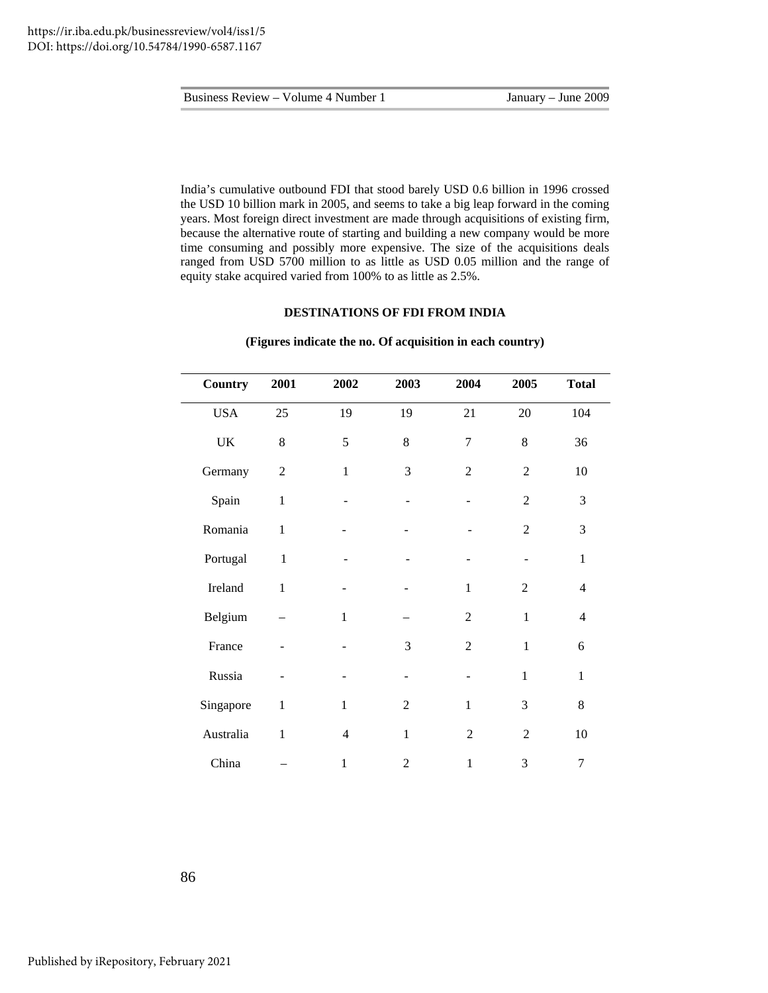India's cumulative outbound FDI that stood barely USD 0.6 billion in 1996 crossed the USD 10 billion mark in 2005, and seems to take a big leap forward in the coming years. Most foreign direct investment are made through acquisitions of existing firm, because the alternative route of starting and building a new company would be more time consuming and possibly more expensive. The size of the acquisitions deals ranged from USD 5700 million to as little as USD 0.05 million and the range of equity stake acquired varied from 100% to as little as 2.5%.

### **DESTINATIONS OF FDI FROM INDIA**

| Country                           | 2001           | 2002           | 2003           | 2004             | 2005           | <b>Total</b>     |
|-----------------------------------|----------------|----------------|----------------|------------------|----------------|------------------|
| <b>USA</b>                        | 25             | 19             | 19             | 21               | $20\,$         | 104              |
| $\ensuremath{\mathsf{UK}}\xspace$ | 8              | 5              | 8              | $\boldsymbol{7}$ | $8\,$          | 36               |
| Germany                           | $\overline{2}$ | $\mathbf{1}$   | 3              | $\overline{2}$   | $\overline{2}$ | $10\,$           |
| Spain                             | $\mathbf{1}$   |                |                |                  | $\overline{2}$ | 3                |
| Romania                           | $\mathbf{1}$   |                |                |                  | $\overline{2}$ | 3                |
| Portugal                          | $\mathbf{1}$   |                |                |                  |                | $\mathbf{1}$     |
| Ireland                           | $\mathbf{1}$   |                |                | $\mathbf{1}$     | $\overline{2}$ | $\overline{4}$   |
| Belgium                           |                | $\mathbf 1$    |                | $\mathbf{2}$     | $\mathbf{1}$   | $\overline{4}$   |
| France                            |                |                | 3              | $\overline{2}$   | $\mathbf{1}$   | 6                |
| Russia                            |                |                |                |                  | $\mathbf{1}$   | $\mathbf{1}$     |
| Singapore                         | $\mathbf{1}$   | $\mathbf{1}$   | $\overline{2}$ | $\mathbf{1}$     | 3              | 8                |
| Australia                         | $\mathbf{1}$   | $\overline{4}$ | $\mathbf{1}$   | $\overline{2}$   | $\overline{2}$ | 10               |
| China                             |                | 1              | $\overline{2}$ | $\mathbf{1}$     | 3              | $\boldsymbol{7}$ |

#### **(Figures indicate the no. Of acquisition in each country)**

86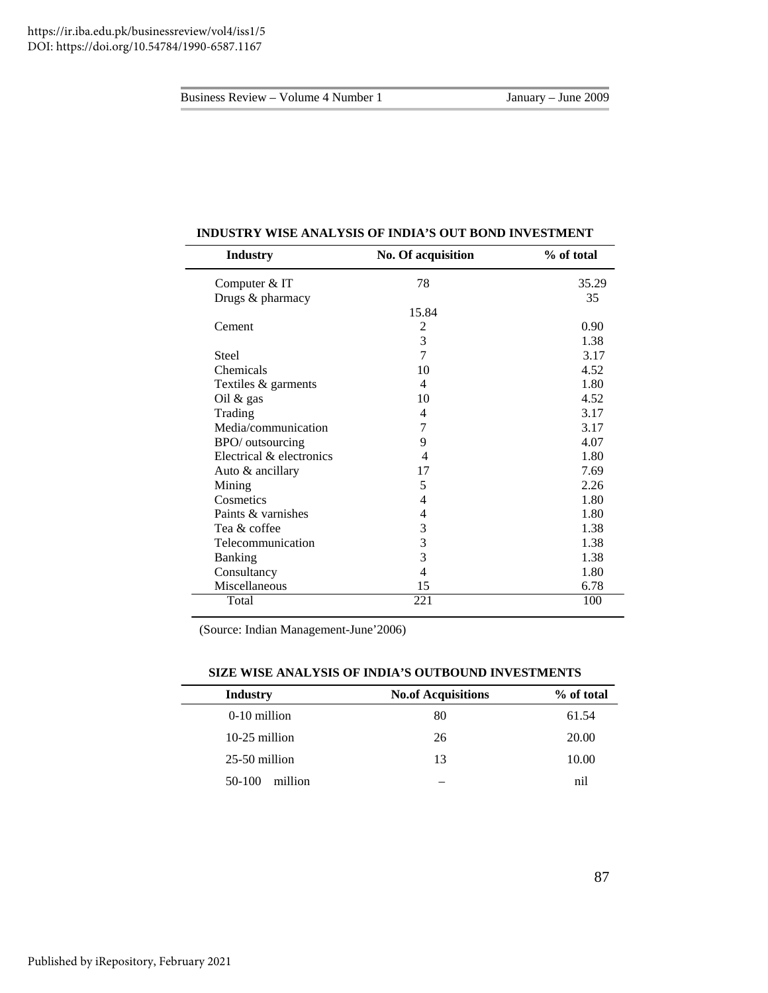| <b>Industry</b>          | No. Of acquisition       | % of total |
|--------------------------|--------------------------|------------|
| Computer & IT            | 78                       | 35.29      |
| Drugs & pharmacy         |                          | 35         |
|                          | 15.84                    |            |
| Cement                   | $\overline{2}$           | 0.90       |
|                          | 3                        | 1.38       |
| <b>Steel</b>             | 7                        | 3.17       |
| Chemicals                | 10                       | 4.52       |
| Textiles & garments      | $\overline{\mathcal{A}}$ | 1.80       |
| Oil $&$ gas              | 10                       | 4.52       |
| Trading                  | 4                        | 3.17       |
| Media/communication      | 7                        | 3.17       |
| BPO/ outsourcing         | 9                        | 4.07       |
| Electrical & electronics | 4                        | 1.80       |
| Auto & ancillary         | 17                       | 7.69       |
| Mining                   | 5                        | 2.26       |
| Cosmetics                | 4                        | 1.80       |
| Paints & varnishes       | 4                        | 1.80       |
| Tea & coffee             | 3                        | 1.38       |
| Telecommunication        | 3                        | 1.38       |
| <b>Banking</b>           | 3                        | 1.38       |
| Consultancy              | $\overline{4}$           | 1.80       |
| Miscellaneous            | 15                       | 6.78       |
| Total                    | 221                      | 100        |

#### **INDUSTRY WISE ANALYSIS OF INDIA'S OUT BOND INVESTMENT**

(Source: Indian Management-June'2006)

| <b>Industry</b>   | <b>No.of Acquisitions</b> | % of total |
|-------------------|---------------------------|------------|
| 0-10 million      | 80                        | 61.54      |
| $10-25$ million   | 26                        | 20.00      |
| $25-50$ million   | 13                        | 10.00      |
| 50-100<br>million |                           | nil        |

#### **SIZE WISE ANALYSIS OF INDIA'S OUTBOUND INVESTMENTS**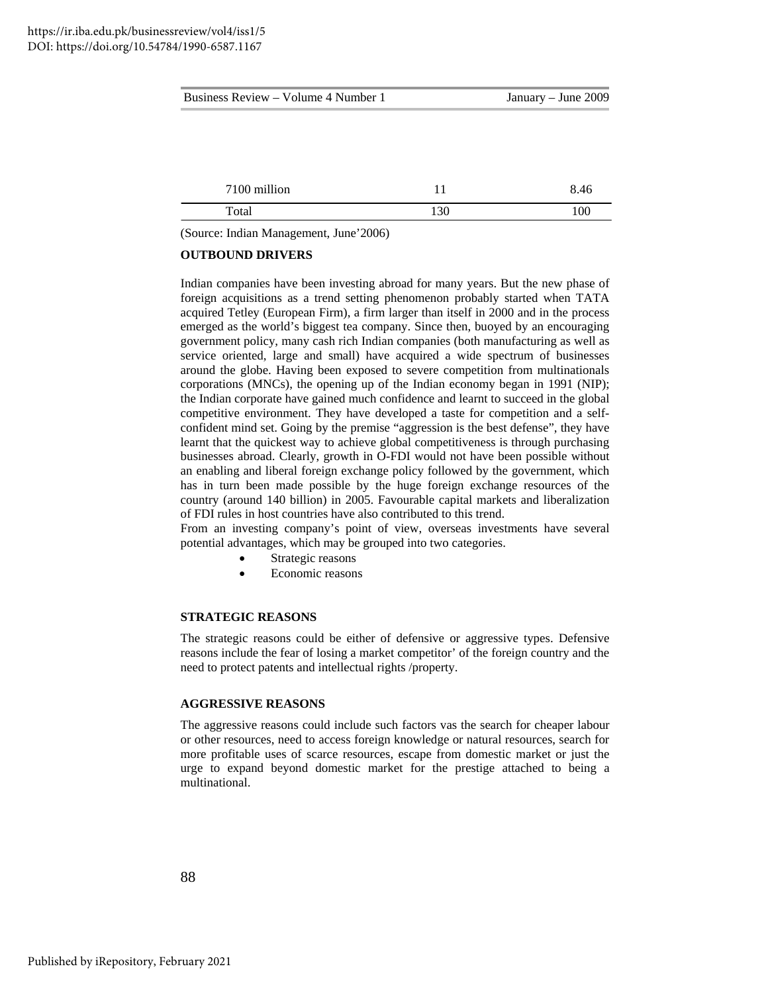| Business Review - Volume 4 Number 1 |     | January – June 2009 |
|-------------------------------------|-----|---------------------|
|                                     |     |                     |
|                                     |     |                     |
|                                     |     |                     |
| 7100 million                        | 11  | 8.46                |
| Total                               | 130 | 100                 |
|                                     |     |                     |

(Source: Indian Management, June'2006)

## **OUTBOUND DRIVERS**

Indian companies have been investing abroad for many years. But the new phase of foreign acquisitions as a trend setting phenomenon probably started when TATA acquired Tetley (European Firm), a firm larger than itself in 2000 and in the process emerged as the world's biggest tea company. Since then, buoyed by an encouraging government policy, many cash rich Indian companies (both manufacturing as well as service oriented, large and small) have acquired a wide spectrum of businesses around the globe. Having been exposed to severe competition from multinationals corporations (MNCs), the opening up of the Indian economy began in 1991 (NIP); the Indian corporate have gained much confidence and learnt to succeed in the global competitive environment. They have developed a taste for competition and a selfconfident mind set. Going by the premise "aggression is the best defense", they have learnt that the quickest way to achieve global competitiveness is through purchasing businesses abroad. Clearly, growth in O-FDI would not have been possible without an enabling and liberal foreign exchange policy followed by the government, which has in turn been made possible by the huge foreign exchange resources of the country (around 140 billion) in 2005. Favourable capital markets and liberalization of FDI rules in host countries have also contributed to this trend.

From an investing company's point of view, overseas investments have several potential advantages, which may be grouped into two categories.

- Strategic reasons
- Economic reasons

## **STRATEGIC REASONS**

The strategic reasons could be either of defensive or aggressive types. Defensive reasons include the fear of losing a market competitor' of the foreign country and the need to protect patents and intellectual rights /property.

## **AGGRESSIVE REASONS**

The aggressive reasons could include such factors vas the search for cheaper labour or other resources, need to access foreign knowledge or natural resources, search for more profitable uses of scarce resources, escape from domestic market or just the urge to expand beyond domestic market for the prestige attached to being a multinational.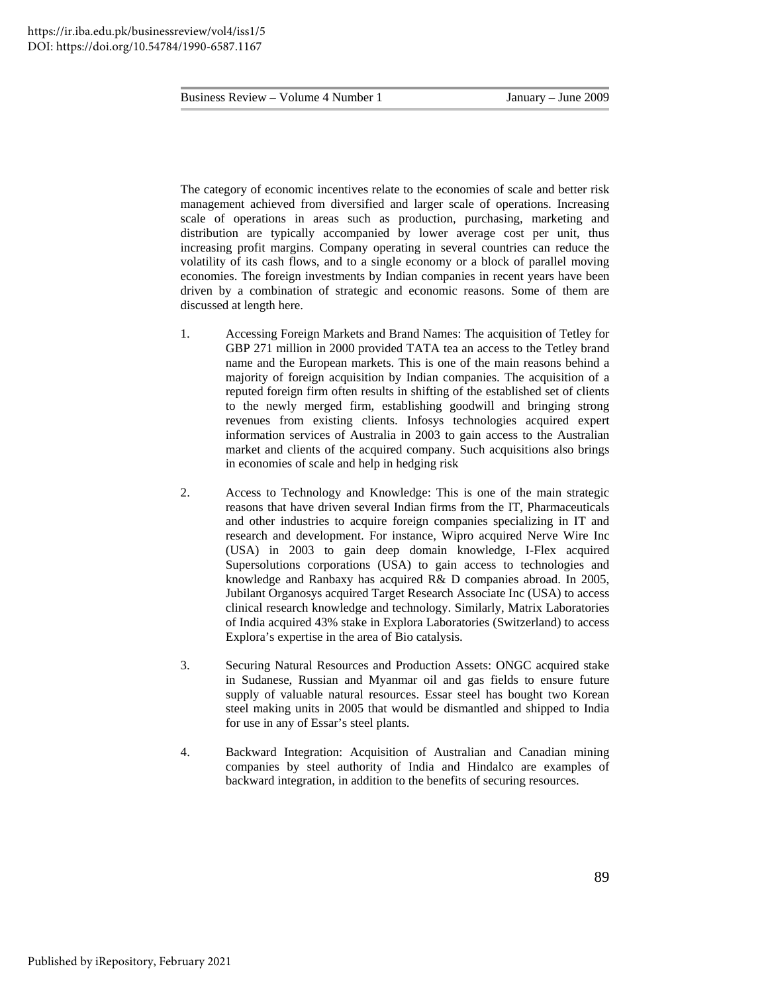The category of economic incentives relate to the economies of scale and better risk management achieved from diversified and larger scale of operations. Increasing scale of operations in areas such as production, purchasing, marketing and distribution are typically accompanied by lower average cost per unit, thus increasing profit margins. Company operating in several countries can reduce the volatility of its cash flows, and to a single economy or a block of parallel moving economies. The foreign investments by Indian companies in recent years have been driven by a combination of strategic and economic reasons. Some of them are discussed at length here.

- 1. Accessing Foreign Markets and Brand Names: The acquisition of Tetley for GBP 271 million in 2000 provided TATA tea an access to the Tetley brand name and the European markets. This is one of the main reasons behind a majority of foreign acquisition by Indian companies. The acquisition of a reputed foreign firm often results in shifting of the established set of clients to the newly merged firm, establishing goodwill and bringing strong revenues from existing clients. Infosys technologies acquired expert information services of Australia in 2003 to gain access to the Australian market and clients of the acquired company. Such acquisitions also brings in economies of scale and help in hedging risk
- 2. Access to Technology and Knowledge: This is one of the main strategic reasons that have driven several Indian firms from the IT, Pharmaceuticals and other industries to acquire foreign companies specializing in IT and research and development. For instance, Wipro acquired Nerve Wire Inc (USA) in 2003 to gain deep domain knowledge, I-Flex acquired Supersolutions corporations (USA) to gain access to technologies and knowledge and Ranbaxy has acquired R& D companies abroad. In 2005, Jubilant Organosys acquired Target Research Associate Inc (USA) to access clinical research knowledge and technology. Similarly, Matrix Laboratories of India acquired 43% stake in Explora Laboratories (Switzerland) to access Explora's expertise in the area of Bio catalysis.
- 3. Securing Natural Resources and Production Assets: ONGC acquired stake in Sudanese, Russian and Myanmar oil and gas fields to ensure future supply of valuable natural resources. Essar steel has bought two Korean steel making units in 2005 that would be dismantled and shipped to India for use in any of Essar's steel plants.
- 4. Backward Integration: Acquisition of Australian and Canadian mining companies by steel authority of India and Hindalco are examples of backward integration, in addition to the benefits of securing resources.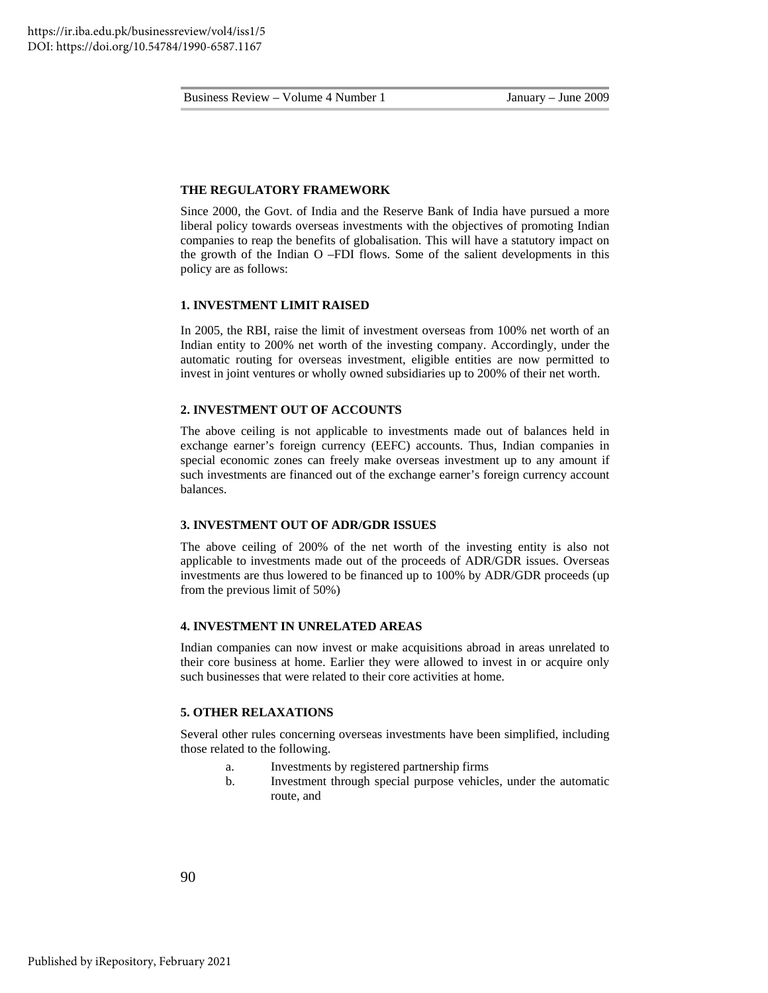#### **THE REGULATORY FRAMEWORK**

Since 2000, the Govt. of India and the Reserve Bank of India have pursued a more liberal policy towards overseas investments with the objectives of promoting Indian companies to reap the benefits of globalisation. This will have a statutory impact on the growth of the Indian O –FDI flows. Some of the salient developments in this policy are as follows:

#### **1. INVESTMENT LIMIT RAISED**

In 2005, the RBI, raise the limit of investment overseas from 100% net worth of an Indian entity to 200% net worth of the investing company. Accordingly, under the automatic routing for overseas investment, eligible entities are now permitted to invest in joint ventures or wholly owned subsidiaries up to 200% of their net worth.

## **2. INVESTMENT OUT OF ACCOUNTS**

The above ceiling is not applicable to investments made out of balances held in exchange earner's foreign currency (EEFC) accounts. Thus, Indian companies in special economic zones can freely make overseas investment up to any amount if such investments are financed out of the exchange earner's foreign currency account balances.

## **3. INVESTMENT OUT OF ADR/GDR ISSUES**

The above ceiling of 200% of the net worth of the investing entity is also not applicable to investments made out of the proceeds of ADR/GDR issues. Overseas investments are thus lowered to be financed up to 100% by ADR/GDR proceeds (up from the previous limit of 50%)

#### **4. INVESTMENT IN UNRELATED AREAS**

Indian companies can now invest or make acquisitions abroad in areas unrelated to their core business at home. Earlier they were allowed to invest in or acquire only such businesses that were related to their core activities at home.

#### **5. OTHER RELAXATIONS**

Several other rules concerning overseas investments have been simplified, including those related to the following.

- a. Investments by registered partnership firms
- b. Investment through special purpose vehicles, under the automatic route, and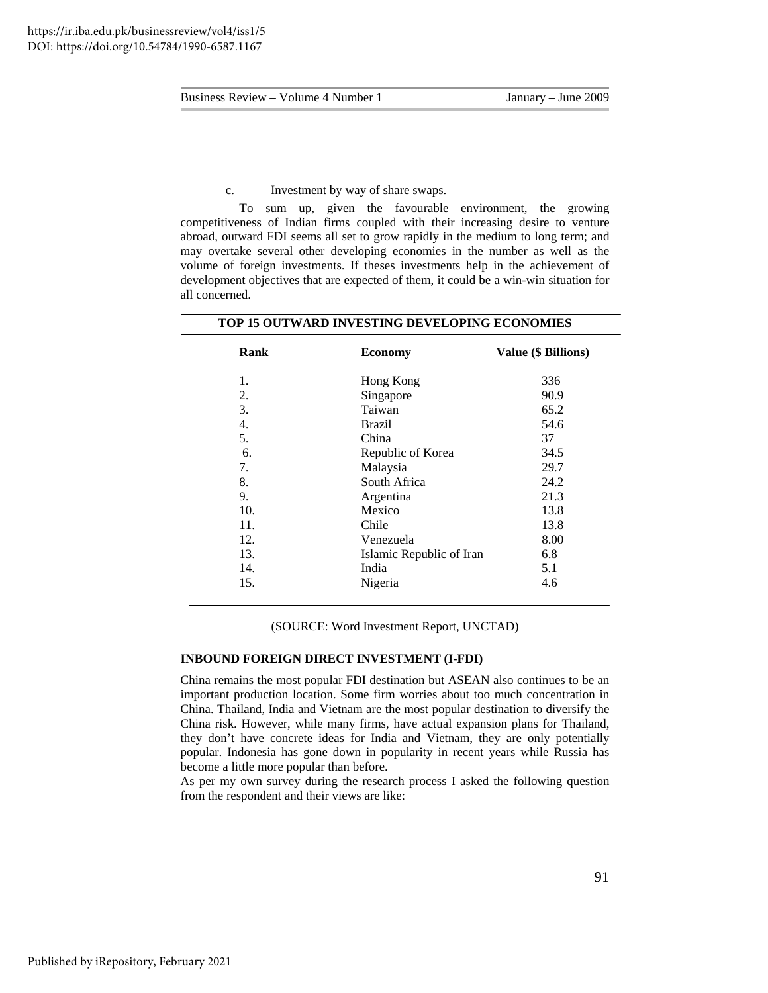c. Investment by way of share swaps.

To sum up, given the favourable environment, the growing competitiveness of Indian firms coupled with their increasing desire to venture abroad, outward FDI seems all set to grow rapidly in the medium to long term; and may overtake several other developing economies in the number as well as the volume of foreign investments. If theses investments help in the achievement of development objectives that are expected of them, it could be a win-win situation for all concerned.

| TOP 15 OUTWARD INVESTING DEVELOPING ECONOMIES |                          |                     |  |
|-----------------------------------------------|--------------------------|---------------------|--|
| Rank                                          | <b>Economy</b>           | Value (\$ Billions) |  |
| 1.                                            | Hong Kong                | 336                 |  |
| 2.                                            | Singapore                | 90.9                |  |
| 3.                                            | Taiwan                   | 65.2                |  |
| 4.                                            | <b>Brazil</b>            | 54.6                |  |
| 5.                                            | China                    | 37                  |  |
| 6.                                            | Republic of Korea        | 34.5                |  |
| 7.                                            | Malaysia                 | 29.7                |  |
| 8.                                            | South Africa             | 24.2                |  |
| 9.                                            | Argentina                | 21.3                |  |
| 10.                                           | Mexico                   | 13.8                |  |
| 11.                                           | Chile                    | 13.8                |  |
| 12.                                           | Venezuela                | 8.00                |  |
| 13.                                           | Islamic Republic of Iran | 6.8                 |  |
| 14.                                           | India                    | 5.1                 |  |
| 15.                                           | Nigeria                  | 4.6                 |  |

(SOURCE: Word Investment Report, UNCTAD)

#### **INBOUND FOREIGN DIRECT INVESTMENT (I-FDI)**

China remains the most popular FDI destination but ASEAN also continues to be an important production location. Some firm worries about too much concentration in China. Thailand, India and Vietnam are the most popular destination to diversify the China risk. However, while many firms, have actual expansion plans for Thailand, they don't have concrete ideas for India and Vietnam, they are only potentially popular. Indonesia has gone down in popularity in recent years while Russia has become a little more popular than before.

As per my own survey during the research process I asked the following question from the respondent and their views are like: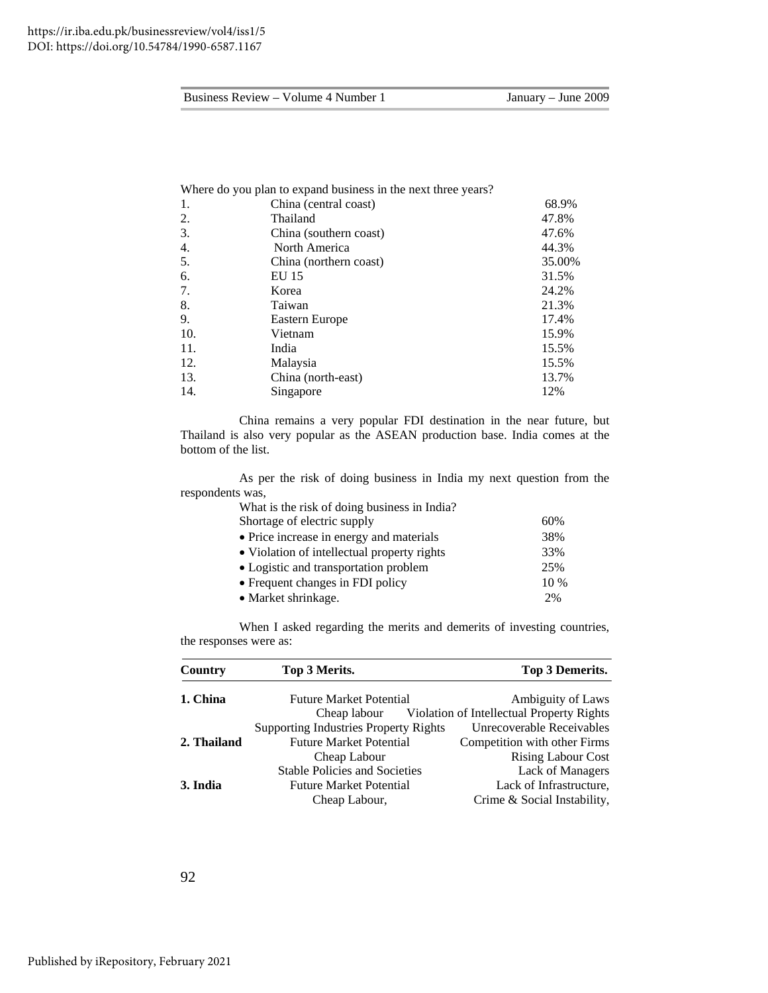|     | Where do you plan to expand business in the next three years? |        |
|-----|---------------------------------------------------------------|--------|
| 1.  | China (central coast)                                         | 68.9%  |
| 2.  | Thailand                                                      | 47.8%  |
| 3.  | China (southern coast)                                        | 47.6%  |
| 4.  | North America                                                 | 44.3%  |
| 5.  | China (northern coast)                                        | 35.00% |
| 6.  | EU 15                                                         | 31.5%  |
| 7.  | Korea                                                         | 24.2%  |
| 8.  | Taiwan                                                        | 21.3%  |
| 9.  | Eastern Europe                                                | 17.4%  |
| 10. | Vietnam                                                       | 15.9%  |
| 11. | India                                                         | 15.5%  |
| 12. | Malaysia                                                      | 15.5%  |
| 13. | China (north-east)                                            | 13.7%  |
| 14. | Singapore                                                     | 12%    |
|     |                                                               |        |

China remains a very popular FDI destination in the near future, but Thailand is also very popular as the ASEAN production base. India comes at the bottom of the list.

As per the risk of doing business in India my next question from the respondents was,

| What is the risk of doing business in India? |        |
|----------------------------------------------|--------|
| Shortage of electric supply                  | 60%    |
| • Price increase in energy and materials     | 38%    |
| • Violation of intellectual property rights  | 33%    |
| • Logistic and transportation problem        | 25%    |
| • Frequent changes in FDI policy             | $10\%$ |
| • Market shrinkage.                          | 2%     |

When I asked regarding the merits and demerits of investing countries, the responses were as:

| Country     | Top 3 Merits.                                | <b>Top 3 Demerits.</b>                                 |
|-------------|----------------------------------------------|--------------------------------------------------------|
| 1. China    | <b>Future Market Potential</b>               | Ambiguity of Laws                                      |
|             |                                              | Cheap labour Violation of Intellectual Property Rights |
|             | <b>Supporting Industries Property Rights</b> | Unrecoverable Receivables                              |
| 2. Thailand | <b>Future Market Potential</b>               | Competition with other Firms                           |
|             | Cheap Labour                                 | <b>Rising Labour Cost</b>                              |
|             | <b>Stable Policies and Societies</b>         | <b>Lack of Managers</b>                                |
| 3. India    | <b>Future Market Potential</b>               | Lack of Infrastructure,                                |
|             | Cheap Labour,                                | Crime & Social Instability,                            |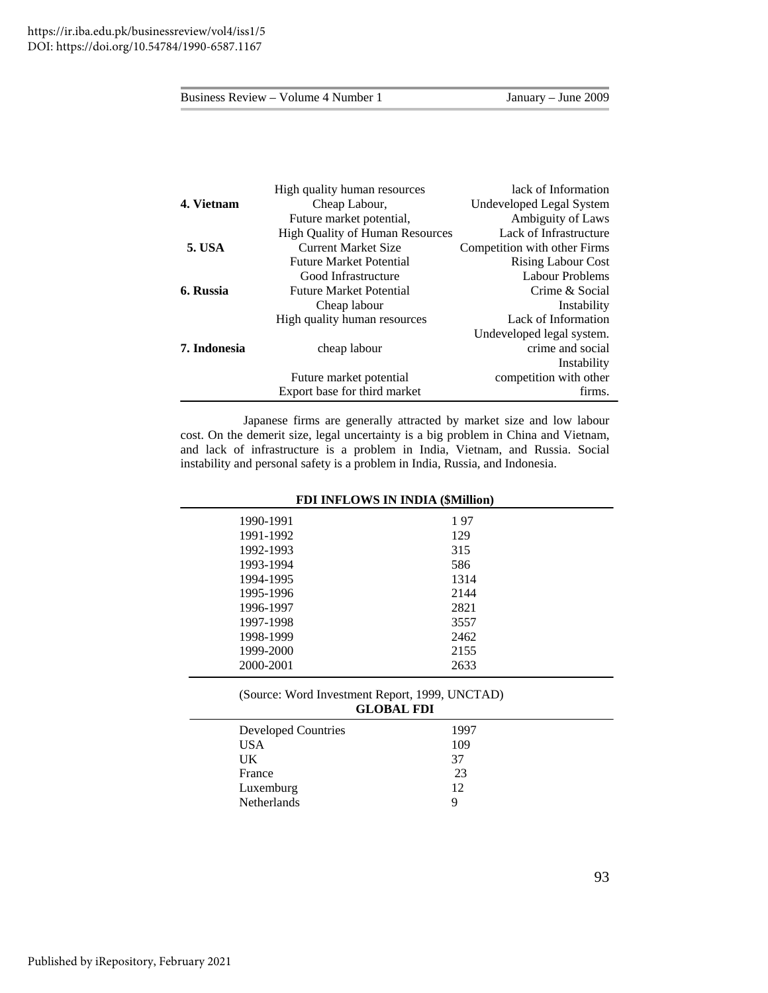|               | High quality human resources           | lack of Information          |
|---------------|----------------------------------------|------------------------------|
| 4. Vietnam    | Cheap Labour,                          | Undeveloped Legal System     |
|               | Future market potential,               | Ambiguity of Laws            |
|               | <b>High Quality of Human Resources</b> | Lack of Infrastructure       |
| <b>5. USA</b> | <b>Current Market Size</b>             | Competition with other Firms |
|               | <b>Future Market Potential</b>         | <b>Rising Labour Cost</b>    |
|               | Good Infrastructure                    | <b>Labour Problems</b>       |
| 6. Russia     | <b>Future Market Potential</b>         | Crime & Social               |
|               | Cheap labour                           | Instability                  |
|               | High quality human resources           | Lack of Information          |
|               |                                        | Undeveloped legal system.    |
| 7. Indonesia  | cheap labour                           | crime and social             |
|               |                                        | Instability                  |
|               | Future market potential                | competition with other       |
|               | Export base for third market           | firms.                       |

 Japanese firms are generally attracted by market size and low labour cost. On the demerit size, legal uncertainty is a big problem in China and Vietnam, and lack of infrastructure is a problem in India, Vietnam, and Russia. Social instability and personal safety is a problem in India, Russia, and Indonesia.

| <b>FDI INFLOWS IN INDIA (\$Million)</b>                             |      |  |  |
|---------------------------------------------------------------------|------|--|--|
| 1990-1991                                                           | 197  |  |  |
| 1991-1992                                                           | 129  |  |  |
| 1992-1993                                                           | 315  |  |  |
| 1993-1994                                                           | 586  |  |  |
| 1994-1995                                                           | 1314 |  |  |
| 1995-1996                                                           | 2144 |  |  |
| 1996-1997                                                           | 2821 |  |  |
| 1997-1998                                                           | 3557 |  |  |
| 1998-1999                                                           | 2462 |  |  |
| 1999-2000                                                           | 2155 |  |  |
| 2000-2001                                                           | 2633 |  |  |
| (Source: Word Investment Report, 1999, UNCTAD)<br><b>GLOBAL FDI</b> |      |  |  |
| Developed Countries                                                 | 1997 |  |  |
| TTC A                                                               | 100  |  |  |

| USA         | 109 |
|-------------|-----|
| UK          | 37  |
| France      | 23  |
| Luxemburg   | 12  |
| Netherlands | Q   |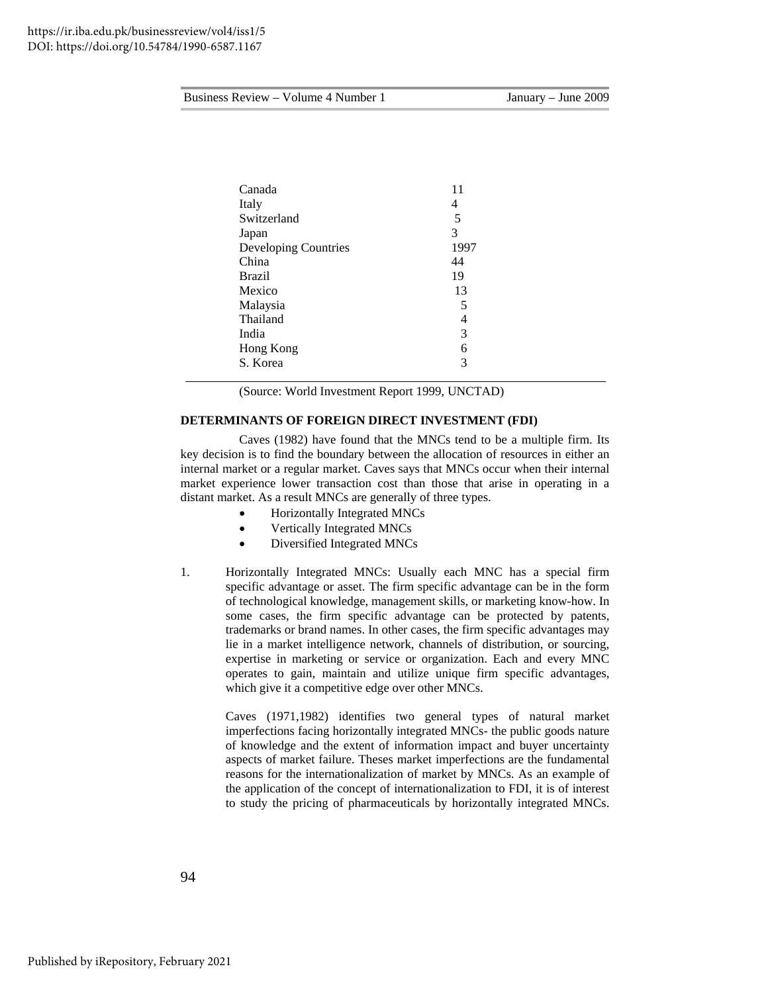| Canada               | 11   |
|----------------------|------|
|                      |      |
| Italy                | 4    |
| Switzerland          | 5    |
| Japan                | 3    |
| Developing Countries | 1997 |
| China                | 44   |
| <b>Brazil</b>        | 19   |
| Mexico               | 13   |
| Malaysia             | 5    |
| Thailand             | 4    |
| India                | 3    |
| Hong Kong            | 6    |
| S. Korea             | 3    |
|                      |      |

(Source: World Investment Report 1999, UNCTAD)

## **DETERMINANTS OF FOREIGN DIRECT INVESTMENT (FDI)**

Caves (1982) have found that the MNCs tend to be a multiple firm. Its key decision is to find the boundary between the allocation of resources in either an internal market or a regular market. Caves says that MNCs occur when their internal market experience lower transaction cost than those that arise in operating in a distant market. As a result MNCs are generally of three types.

- Horizontally Integrated MNCs
- Vertically Integrated MNCs
- Diversified Integrated MNCs
- 1. Horizontally Integrated MNCs: Usually each MNC has a special firm specific advantage or asset. The firm specific advantage can be in the form of technological knowledge, management skills, or marketing know-how. In some cases, the firm specific advantage can be protected by patents, trademarks or brand names. In other cases, the firm specific advantages may lie in a market intelligence network, channels of distribution, or sourcing, expertise in marketing or service or organization. Each and every MNC operates to gain, maintain and utilize unique firm specific advantages, which give it a competitive edge over other MNCs.

 Caves (1971,1982) identifies two general types of natural market imperfections facing horizontally integrated MNCs- the public goods nature of knowledge and the extent of information impact and buyer uncertainty aspects of market failure. Theses market imperfections are the fundamental reasons for the internationalization of market by MNCs. As an example of the application of the concept of internationalization to FDI, it is of interest to study the pricing of pharmaceuticals by horizontally integrated MNCs.

94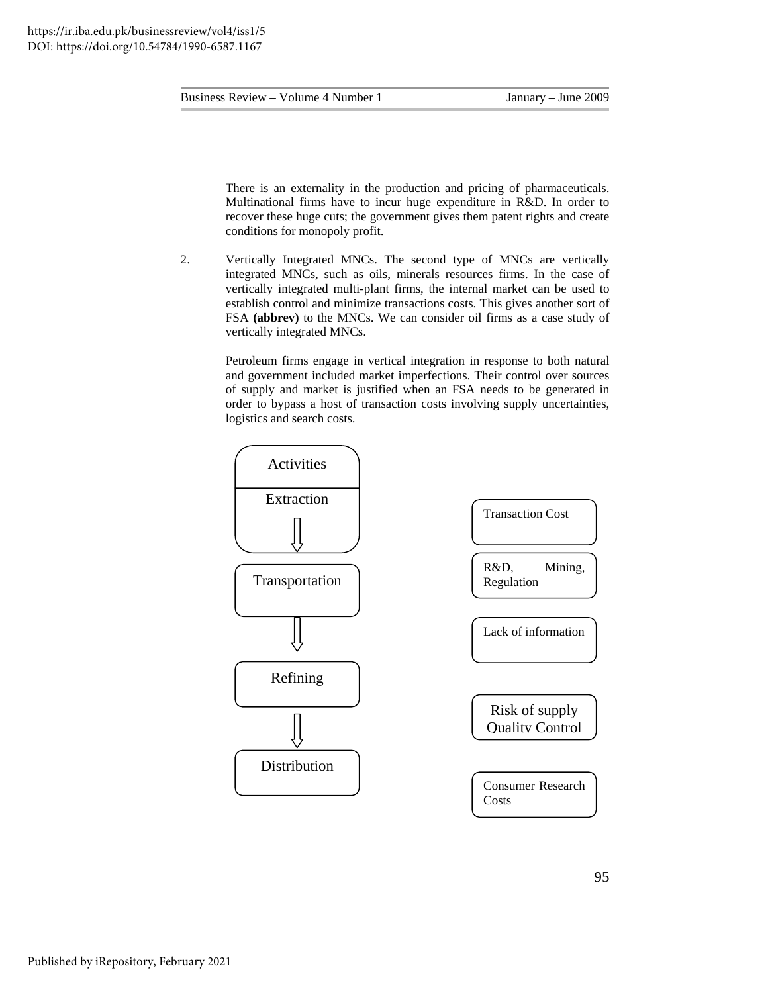There is an externality in the production and pricing of pharmaceuticals. Multinational firms have to incur huge expenditure in R&D. In order to recover these huge cuts; the government gives them patent rights and create conditions for monopoly profit.

2. Vertically Integrated MNCs. The second type of MNCs are vertically integrated MNCs, such as oils, minerals resources firms. In the case of vertically integrated multi-plant firms, the internal market can be used to establish control and minimize transactions costs. This gives another sort of FSA **(abbrev)** to the MNCs. We can consider oil firms as a case study of vertically integrated MNCs.

> Petroleum firms engage in vertical integration in response to both natural and government included market imperfections. Their control over sources of supply and market is justified when an FSA needs to be generated in order to bypass a host of transaction costs involving supply uncertainties, logistics and search costs.

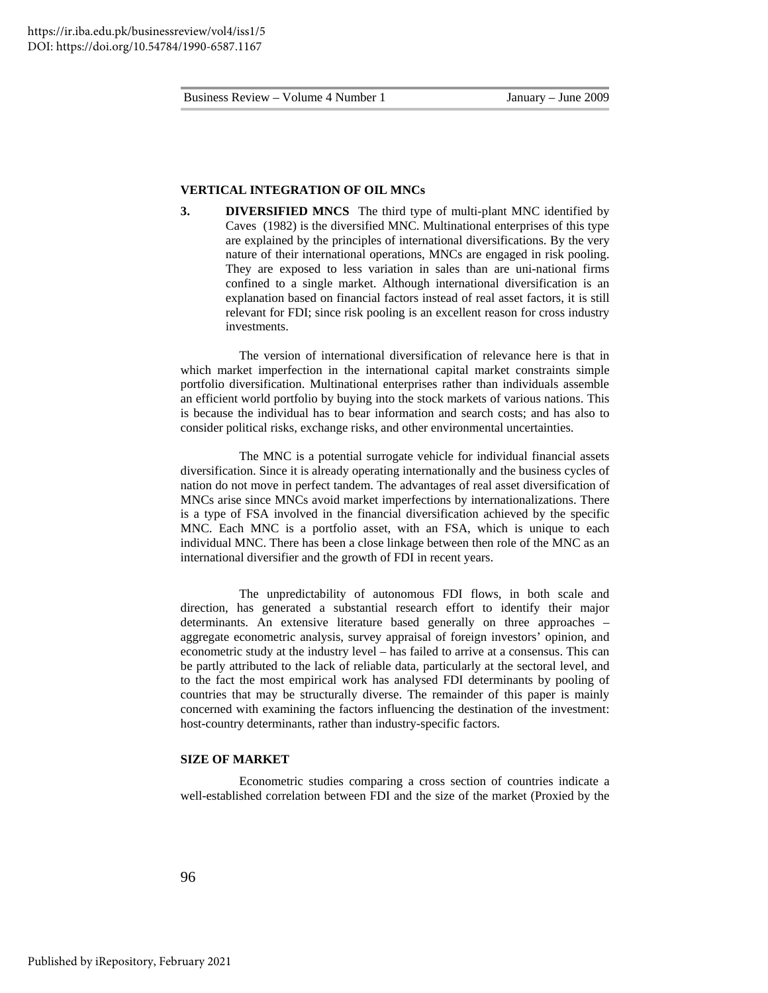#### **VERTICAL INTEGRATION OF OIL MNCs**

**3. DIVERSIFIED MNCS** The third type of multi-plant MNC identified by Caves (1982) is the diversified MNC. Multinational enterprises of this type are explained by the principles of international diversifications. By the very nature of their international operations, MNCs are engaged in risk pooling. They are exposed to less variation in sales than are uni-national firms confined to a single market. Although international diversification is an explanation based on financial factors instead of real asset factors, it is still relevant for FDI; since risk pooling is an excellent reason for cross industry investments.

The version of international diversification of relevance here is that in which market imperfection in the international capital market constraints simple portfolio diversification. Multinational enterprises rather than individuals assemble an efficient world portfolio by buying into the stock markets of various nations. This is because the individual has to bear information and search costs; and has also to consider political risks, exchange risks, and other environmental uncertainties.

The MNC is a potential surrogate vehicle for individual financial assets diversification. Since it is already operating internationally and the business cycles of nation do not move in perfect tandem. The advantages of real asset diversification of MNCs arise since MNCs avoid market imperfections by internationalizations. There is a type of FSA involved in the financial diversification achieved by the specific MNC. Each MNC is a portfolio asset, with an FSA, which is unique to each individual MNC. There has been a close linkage between then role of the MNC as an international diversifier and the growth of FDI in recent years.

The unpredictability of autonomous FDI flows, in both scale and direction, has generated a substantial research effort to identify their major determinants. An extensive literature based generally on three approaches – aggregate econometric analysis, survey appraisal of foreign investors' opinion, and econometric study at the industry level – has failed to arrive at a consensus. This can be partly attributed to the lack of reliable data, particularly at the sectoral level, and to the fact the most empirical work has analysed FDI determinants by pooling of countries that may be structurally diverse. The remainder of this paper is mainly concerned with examining the factors influencing the destination of the investment: host-country determinants, rather than industry-specific factors.

## **SIZE OF MARKET**

Econometric studies comparing a cross section of countries indicate a well-established correlation between FDI and the size of the market (Proxied by the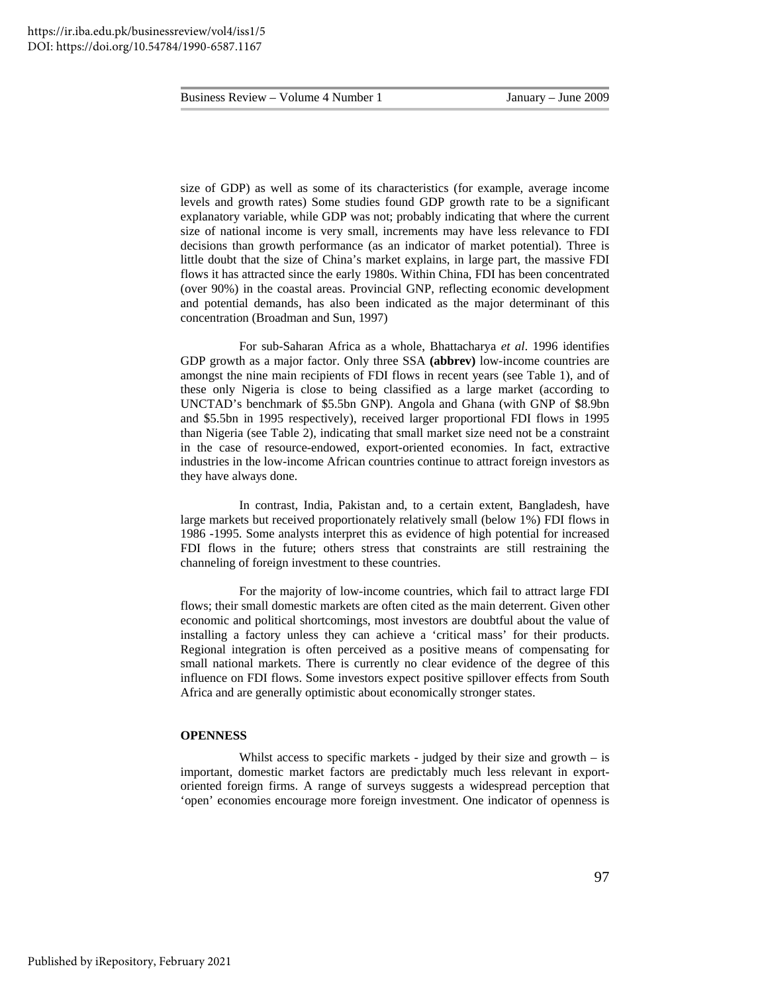size of GDP) as well as some of its characteristics (for example, average income levels and growth rates) Some studies found GDP growth rate to be a significant explanatory variable, while GDP was not; probably indicating that where the current size of national income is very small, increments may have less relevance to FDI decisions than growth performance (as an indicator of market potential). Three is little doubt that the size of China's market explains, in large part, the massive FDI flows it has attracted since the early 1980s. Within China, FDI has been concentrated (over 90%) in the coastal areas. Provincial GNP, reflecting economic development and potential demands, has also been indicated as the major determinant of this concentration (Broadman and Sun, 1997)

For sub-Saharan Africa as a whole, Bhattacharya *et al*. 1996 identifies GDP growth as a major factor. Only three SSA (abbrev) low-income countries are amongst the nine main recipients of FDI flows in recent years (see Table 1), and of these only Nigeria is close to being classified as a large market (according to UNCTAD's benchmark of \$5.5bn GNP). Angola and Ghana (with GNP of \$8.9bn and \$5.5bn in 1995 respectively), received larger proportional FDI flows in 1995 than Nigeria (see Table 2), indicating that small market size need not be a constraint in the case of resource-endowed, export-oriented economies. In fact, extractive industries in the low-income African countries continue to attract foreign investors as they have always done.

In contrast, India, Pakistan and, to a certain extent, Bangladesh, have large markets but received proportionately relatively small (below 1%) FDI flows in 1986 -1995. Some analysts interpret this as evidence of high potential for increased FDI flows in the future; others stress that constraints are still restraining the channeling of foreign investment to these countries.

For the majority of low-income countries, which fail to attract large FDI flows; their small domestic markets are often cited as the main deterrent. Given other economic and political shortcomings, most investors are doubtful about the value of installing a factory unless they can achieve a 'critical mass' for their products. Regional integration is often perceived as a positive means of compensating for small national markets. There is currently no clear evidence of the degree of this influence on FDI flows. Some investors expect positive spillover effects from South Africa and are generally optimistic about economically stronger states.

#### **OPENNESS**

Whilst access to specific markets - judged by their size and growth  $-$  is important, domestic market factors are predictably much less relevant in exportoriented foreign firms. A range of surveys suggests a widespread perception that 'open' economies encourage more foreign investment. One indicator of openness is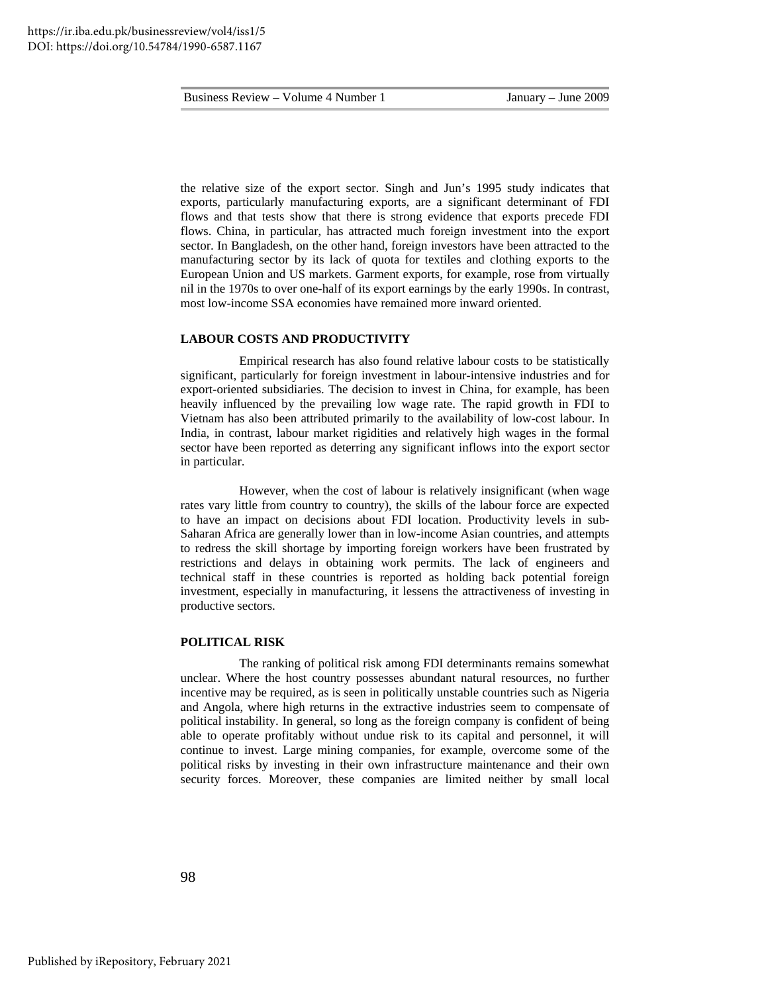the relative size of the export sector. Singh and Jun's 1995 study indicates that exports, particularly manufacturing exports, are a significant determinant of FDI flows and that tests show that there is strong evidence that exports precede FDI flows. China, in particular, has attracted much foreign investment into the export sector. In Bangladesh, on the other hand, foreign investors have been attracted to the manufacturing sector by its lack of quota for textiles and clothing exports to the European Union and US markets. Garment exports, for example, rose from virtually nil in the 1970s to over one-half of its export earnings by the early 1990s. In contrast, most low-income SSA economies have remained more inward oriented.

#### **LABOUR COSTS AND PRODUCTIVITY**

Empirical research has also found relative labour costs to be statistically significant, particularly for foreign investment in labour-intensive industries and for export-oriented subsidiaries. The decision to invest in China, for example, has been heavily influenced by the prevailing low wage rate. The rapid growth in FDI to Vietnam has also been attributed primarily to the availability of low-cost labour. In India, in contrast, labour market rigidities and relatively high wages in the formal sector have been reported as deterring any significant inflows into the export sector in particular.

However, when the cost of labour is relatively insignificant (when wage rates vary little from country to country), the skills of the labour force are expected to have an impact on decisions about FDI location. Productivity levels in sub-Saharan Africa are generally lower than in low-income Asian countries, and attempts to redress the skill shortage by importing foreign workers have been frustrated by restrictions and delays in obtaining work permits. The lack of engineers and technical staff in these countries is reported as holding back potential foreign investment, especially in manufacturing, it lessens the attractiveness of investing in productive sectors.

#### **POLITICAL RISK**

The ranking of political risk among FDI determinants remains somewhat unclear. Where the host country possesses abundant natural resources, no further incentive may be required, as is seen in politically unstable countries such as Nigeria and Angola, where high returns in the extractive industries seem to compensate of political instability. In general, so long as the foreign company is confident of being able to operate profitably without undue risk to its capital and personnel, it will continue to invest. Large mining companies, for example, overcome some of the political risks by investing in their own infrastructure maintenance and their own security forces. Moreover, these companies are limited neither by small local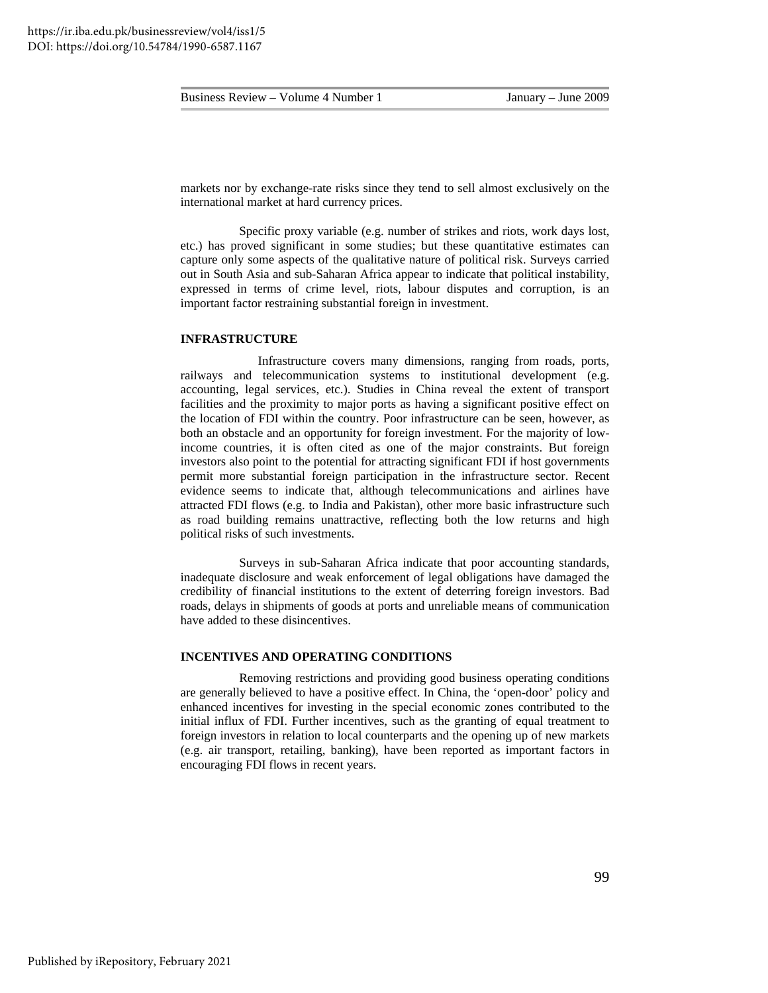| Business Review $-$ | Volume 4 Number |
|---------------------|-----------------|
|---------------------|-----------------|

markets nor by exchange-rate risks since they tend to sell almost exclusively on the international market at hard currency prices.

Specific proxy variable (e.g. number of strikes and riots, work days lost, etc.) has proved significant in some studies; but these quantitative estimates can capture only some aspects of the qualitative nature of political risk. Surveys carried out in South Asia and sub-Saharan Africa appear to indicate that political instability, expressed in terms of crime level, riots, labour disputes and corruption, is an important factor restraining substantial foreign in investment.

#### **INFRASTRUCTURE**

 Infrastructure covers many dimensions, ranging from roads, ports, railways and telecommunication systems to institutional development (e.g. accounting, legal services, etc.). Studies in China reveal the extent of transport facilities and the proximity to major ports as having a significant positive effect on the location of FDI within the country. Poor infrastructure can be seen, however, as both an obstacle and an opportunity for foreign investment. For the majority of lowincome countries, it is often cited as one of the major constraints. But foreign investors also point to the potential for attracting significant FDI if host governments permit more substantial foreign participation in the infrastructure sector. Recent evidence seems to indicate that, although telecommunications and airlines have attracted FDI flows (e.g. to India and Pakistan), other more basic infrastructure such as road building remains unattractive, reflecting both the low returns and high political risks of such investments.

Surveys in sub-Saharan Africa indicate that poor accounting standards, inadequate disclosure and weak enforcement of legal obligations have damaged the credibility of financial institutions to the extent of deterring foreign investors. Bad roads, delays in shipments of goods at ports and unreliable means of communication have added to these disincentives.

#### **INCENTIVES AND OPERATING CONDITIONS**

Removing restrictions and providing good business operating conditions are generally believed to have a positive effect. In China, the 'open-door' policy and enhanced incentives for investing in the special economic zones contributed to the initial influx of FDI. Further incentives, such as the granting of equal treatment to foreign investors in relation to local counterparts and the opening up of new markets (e.g. air transport, retailing, banking), have been reported as important factors in encouraging FDI flows in recent years.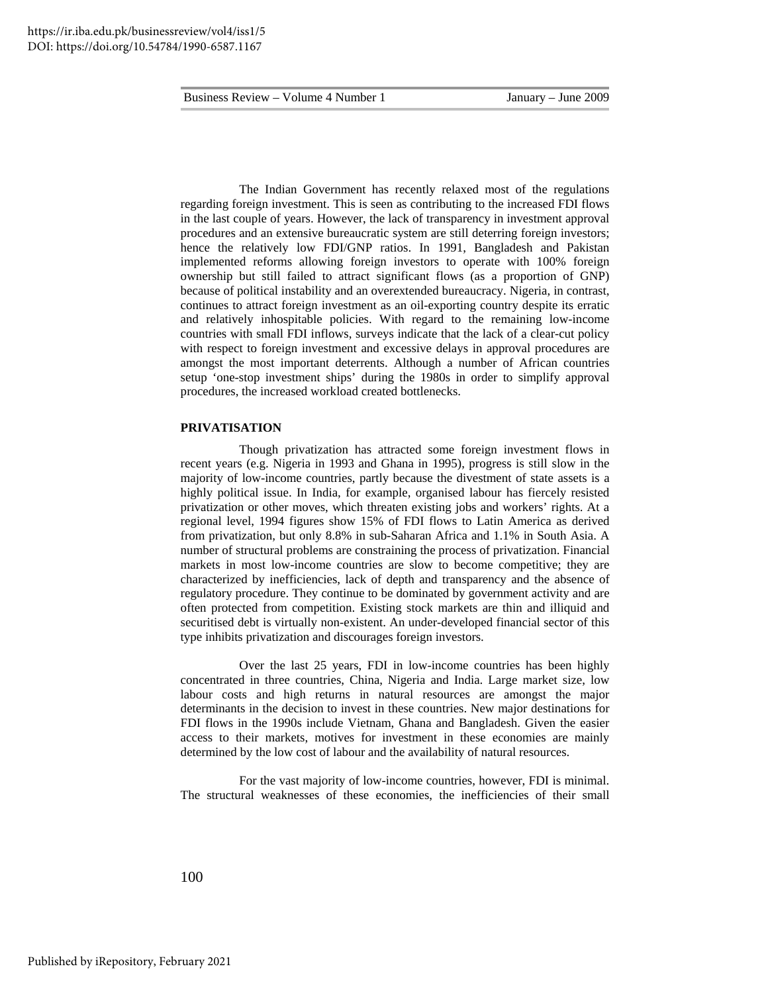The Indian Government has recently relaxed most of the regulations regarding foreign investment. This is seen as contributing to the increased FDI flows in the last couple of years. However, the lack of transparency in investment approval procedures and an extensive bureaucratic system are still deterring foreign investors; hence the relatively low FDI/GNP ratios. In 1991, Bangladesh and Pakistan implemented reforms allowing foreign investors to operate with 100% foreign ownership but still failed to attract significant flows (as a proportion of GNP) because of political instability and an overextended bureaucracy. Nigeria, in contrast, continues to attract foreign investment as an oil-exporting country despite its erratic and relatively inhospitable policies. With regard to the remaining low-income countries with small FDI inflows, surveys indicate that the lack of a clear-cut policy with respect to foreign investment and excessive delays in approval procedures are amongst the most important deterrents. Although a number of African countries setup 'one-stop investment ships' during the 1980s in order to simplify approval procedures, the increased workload created bottlenecks.

## **PRIVATISATION**

Though privatization has attracted some foreign investment flows in recent years (e.g. Nigeria in 1993 and Ghana in 1995), progress is still slow in the majority of low-income countries, partly because the divestment of state assets is a highly political issue. In India, for example, organised labour has fiercely resisted privatization or other moves, which threaten existing jobs and workers' rights. At a regional level, 1994 figures show 15% of FDI flows to Latin America as derived from privatization, but only 8.8% in sub-Saharan Africa and 1.1% in South Asia. A number of structural problems are constraining the process of privatization. Financial markets in most low-income countries are slow to become competitive; they are characterized by inefficiencies, lack of depth and transparency and the absence of regulatory procedure. They continue to be dominated by government activity and are often protected from competition. Existing stock markets are thin and illiquid and securitised debt is virtually non-existent. An under-developed financial sector of this type inhibits privatization and discourages foreign investors.

Over the last 25 years, FDI in low-income countries has been highly concentrated in three countries, China, Nigeria and India. Large market size, low labour costs and high returns in natural resources are amongst the major determinants in the decision to invest in these countries. New major destinations for FDI flows in the 1990s include Vietnam, Ghana and Bangladesh. Given the easier access to their markets, motives for investment in these economies are mainly determined by the low cost of labour and the availability of natural resources.

For the vast majority of low-income countries, however, FDI is minimal. The structural weaknesses of these economies, the inefficiencies of their small

100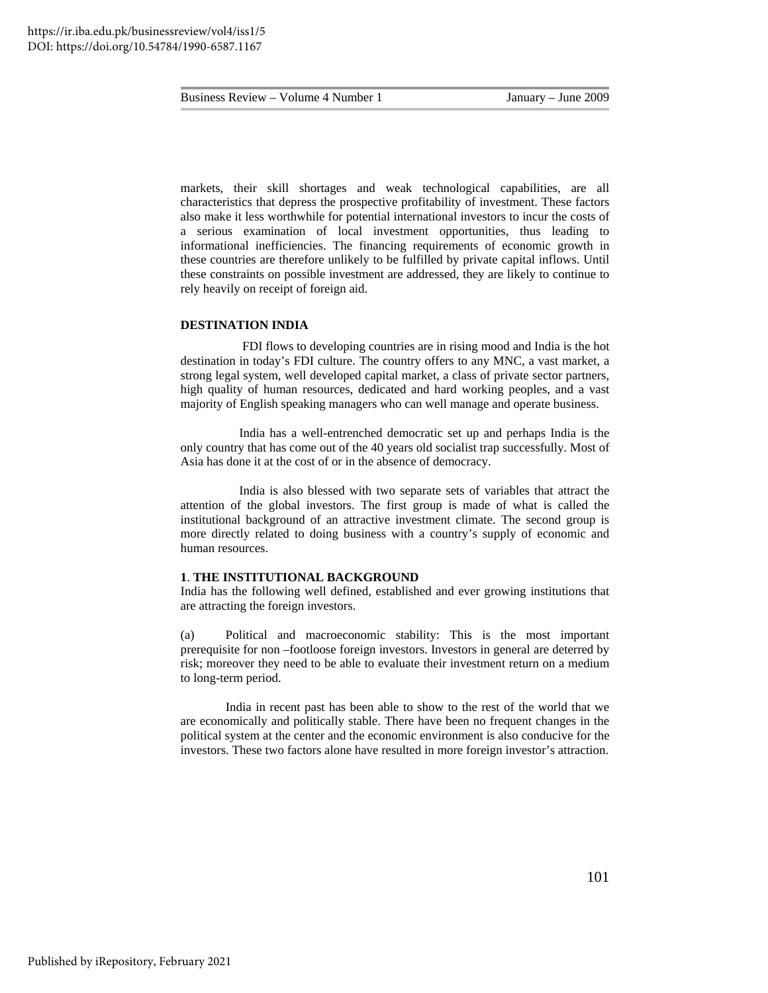markets, their skill shortages and weak technological capabilities, are all characteristics that depress the prospective profitability of investment. These factors also make it less worthwhile for potential international investors to incur the costs of a serious examination of local investment opportunities, thus leading to informational inefficiencies. The financing requirements of economic growth in these countries are therefore unlikely to be fulfilled by private capital inflows. Until these constraints on possible investment are addressed, they are likely to continue to rely heavily on receipt of foreign aid.

## **DESTINATION INDIA**

 FDI flows to developing countries are in rising mood and India is the hot destination in today's FDI culture. The country offers to any MNC, a vast market, a strong legal system, well developed capital market, a class of private sector partners, high quality of human resources, dedicated and hard working peoples, and a vast majority of English speaking managers who can well manage and operate business.

India has a well-entrenched democratic set up and perhaps India is the only country that has come out of the 40 years old socialist trap successfully. Most of Asia has done it at the cost of or in the absence of democracy.

India is also blessed with two separate sets of variables that attract the attention of the global investors. The first group is made of what is called the institutional background of an attractive investment climate. The second group is more directly related to doing business with a country's supply of economic and human resources.

#### **1**. **THE INSTITUTIONAL BACKGROUND**

India has the following well defined, established and ever growing institutions that are attracting the foreign investors.

(a) Political and macroeconomic stability: This is the most important prerequisite for non –footloose foreign investors. Investors in general are deterred by risk; moreover they need to be able to evaluate their investment return on a medium to long-term period.

 India in recent past has been able to show to the rest of the world that we are economically and politically stable. There have been no frequent changes in the political system at the center and the economic environment is also conducive for the investors. These two factors alone have resulted in more foreign investor's attraction.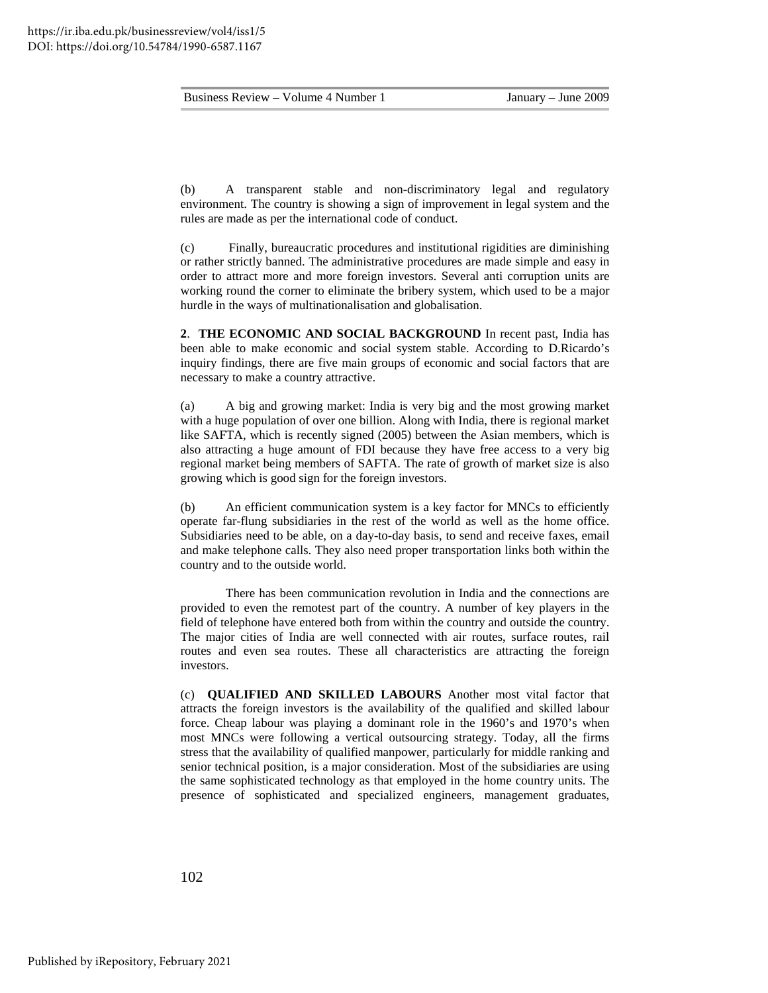(b) A transparent stable and non-discriminatory legal and regulatory environment. The country is showing a sign of improvement in legal system and the rules are made as per the international code of conduct.

(c) Finally, bureaucratic procedures and institutional rigidities are diminishing or rather strictly banned. The administrative procedures are made simple and easy in order to attract more and more foreign investors. Several anti corruption units are working round the corner to eliminate the bribery system, which used to be a major hurdle in the ways of multinationalisation and globalisation.

**2**. **THE ECONOMIC AND SOCIAL BACKGROUND** In recent past, India has been able to make economic and social system stable. According to D.Ricardo's inquiry findings, there are five main groups of economic and social factors that are necessary to make a country attractive.

(a) A big and growing market: India is very big and the most growing market with a huge population of over one billion. Along with India, there is regional market like SAFTA, which is recently signed (2005) between the Asian members, which is also attracting a huge amount of FDI because they have free access to a very big regional market being members of SAFTA. The rate of growth of market size is also growing which is good sign for the foreign investors.

(b) An efficient communication system is a key factor for MNCs to efficiently operate far-flung subsidiaries in the rest of the world as well as the home office. Subsidiaries need to be able, on a day-to-day basis, to send and receive faxes, email and make telephone calls. They also need proper transportation links both within the country and to the outside world.

 There has been communication revolution in India and the connections are provided to even the remotest part of the country. A number of key players in the field of telephone have entered both from within the country and outside the country. The major cities of India are well connected with air routes, surface routes, rail routes and even sea routes. These all characteristics are attracting the foreign investors.

(c) **QUALIFIED AND SKILLED LABOURS** Another most vital factor that attracts the foreign investors is the availability of the qualified and skilled labour force. Cheap labour was playing a dominant role in the 1960's and 1970's when most MNCs were following a vertical outsourcing strategy. Today, all the firms stress that the availability of qualified manpower, particularly for middle ranking and senior technical position, is a major consideration. Most of the subsidiaries are using the same sophisticated technology as that employed in the home country units. The presence of sophisticated and specialized engineers, management graduates,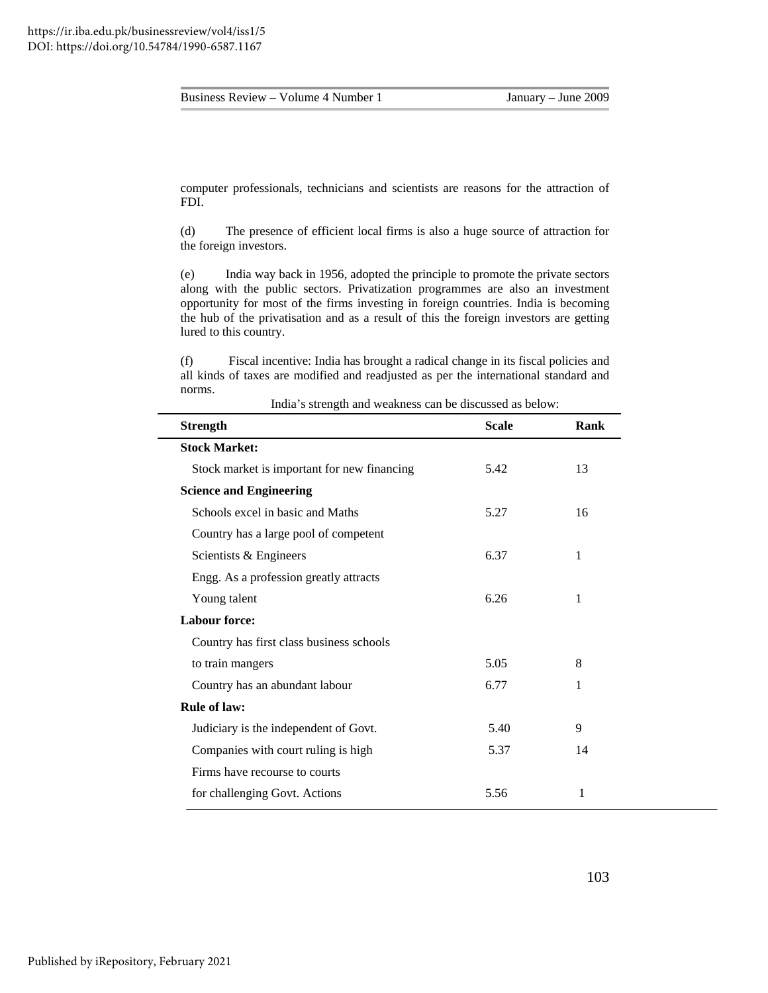computer professionals, technicians and scientists are reasons for the attraction of FDI.

(d) The presence of efficient local firms is also a huge source of attraction for the foreign investors.

(e) India way back in 1956, adopted the principle to promote the private sectors along with the public sectors. Privatization programmes are also an investment opportunity for most of the firms investing in foreign countries. India is becoming the hub of the privatisation and as a result of this the foreign investors are getting lured to this country.

(f) Fiscal incentive: India has brought a radical change in its fiscal policies and all kinds of taxes are modified and readjusted as per the international standard and norms.

| <b>Strength</b>                             | <b>Scale</b> | Rank |
|---------------------------------------------|--------------|------|
| <b>Stock Market:</b>                        |              |      |
| Stock market is important for new financing | 5.42         | 13   |
| <b>Science and Engineering</b>              |              |      |
| Schools excel in basic and Maths            | 5.27         | 16   |
| Country has a large pool of competent       |              |      |
| Scientists & Engineers                      | 6.37         | 1    |
| Engg. As a profession greatly attracts      |              |      |
| Young talent                                | 6.26         | 1    |
| <b>Labour force:</b>                        |              |      |
| Country has first class business schools    |              |      |
| to train mangers                            | 5.05         | 8    |
| Country has an abundant labour              | 6.77         | 1    |
| <b>Rule of law:</b>                         |              |      |
| Judiciary is the independent of Govt.       | 5.40         | 9    |
| Companies with court ruling is high         | 5.37         | 14   |
| Firms have recourse to courts               |              |      |
| for challenging Govt. Actions               | 5.56         | 1    |
|                                             |              |      |

India's strength and weakness can be discussed as below: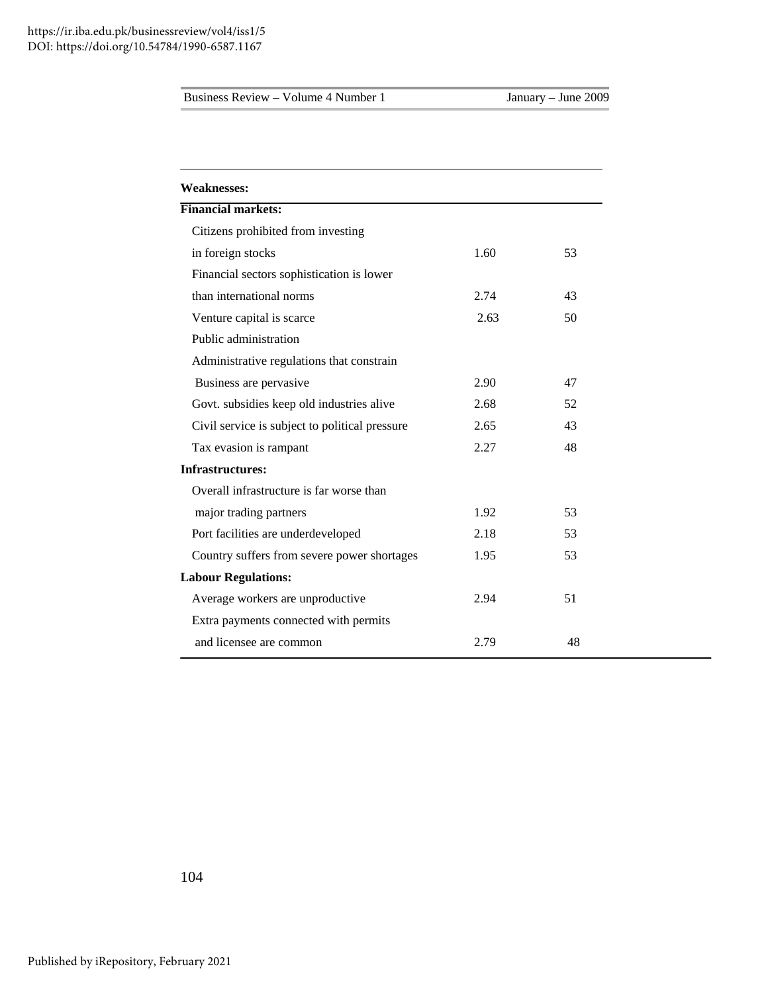| <b>Financial markets:</b><br>Citizens prohibited from investing<br>in foreign stocks<br>1.60<br>53<br>Financial sectors sophistication is lower<br>than international norms<br>2.74<br>43<br>50<br>Venture capital is scarce<br>2.63<br>Public administration<br>Administrative regulations that constrain |
|------------------------------------------------------------------------------------------------------------------------------------------------------------------------------------------------------------------------------------------------------------------------------------------------------------|
|                                                                                                                                                                                                                                                                                                            |
|                                                                                                                                                                                                                                                                                                            |
|                                                                                                                                                                                                                                                                                                            |
|                                                                                                                                                                                                                                                                                                            |
|                                                                                                                                                                                                                                                                                                            |
|                                                                                                                                                                                                                                                                                                            |
|                                                                                                                                                                                                                                                                                                            |
|                                                                                                                                                                                                                                                                                                            |
| Business are pervasive<br>2.90<br>47                                                                                                                                                                                                                                                                       |
| 2.68<br>Govt. subsidies keep old industries alive<br>52                                                                                                                                                                                                                                                    |
| 43<br>Civil service is subject to political pressure<br>2.65                                                                                                                                                                                                                                               |
| 48<br>Tax evasion is rampant<br>2.27                                                                                                                                                                                                                                                                       |
| <b>Infrastructures:</b>                                                                                                                                                                                                                                                                                    |
| Overall infrastructure is far worse than                                                                                                                                                                                                                                                                   |
| major trading partners<br>1.92<br>53                                                                                                                                                                                                                                                                       |
| Port facilities are underdeveloped<br>53<br>2.18                                                                                                                                                                                                                                                           |
| Country suffers from severe power shortages<br>53<br>1.95                                                                                                                                                                                                                                                  |
| <b>Labour Regulations:</b>                                                                                                                                                                                                                                                                                 |
| Average workers are unproductive<br>51<br>2.94                                                                                                                                                                                                                                                             |
| Extra payments connected with permits                                                                                                                                                                                                                                                                      |
| and licensee are common<br>2.79<br>48                                                                                                                                                                                                                                                                      |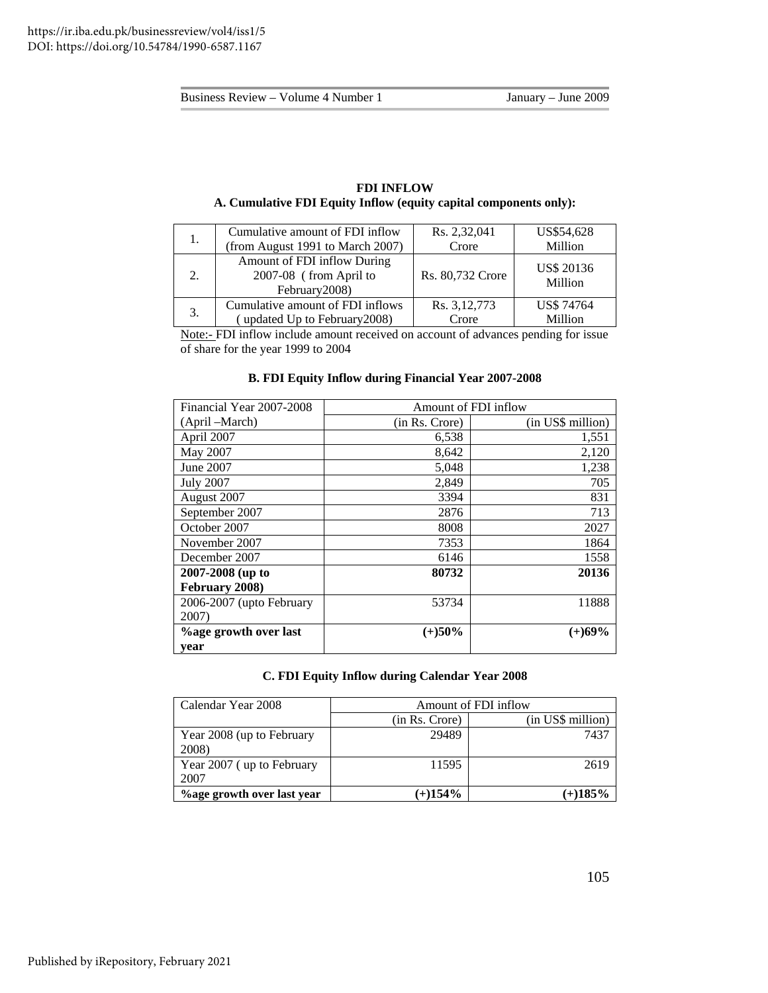## **FDI INFLOW A. Cumulative FDI Equity Inflow (equity capital components only):**

| 1.                          | Cumulative amount of FDI inflow                                         | Rs. 2,32,041            | US\$54,628                   |
|-----------------------------|-------------------------------------------------------------------------|-------------------------|------------------------------|
|                             | (from August 1991 to March 2007)                                        | Crore                   | Million                      |
| $\mathcal{D}_{\mathcal{L}}$ | Amount of FDI inflow During<br>2007-08 (from April to<br>February 2008) | Rs. 80,732 Crore        | <b>US\$ 20136</b><br>Million |
| 3.                          | Cumulative amount of FDI inflows<br>updated Up to February 2008)        | Rs. 3, 12, 773<br>Crore | <b>US\$74764</b><br>Million  |

Note:- FDI inflow include amount received on account of advances pending for issue of share for the year 1999 to 2004

## **B. FDI Equity Inflow during Financial Year 2007-2008**

| Financial Year 2007-2008     | Amount of FDI inflow |                   |  |  |  |
|------------------------------|----------------------|-------------------|--|--|--|
| (April –March)               | (in Rs. Crore)       | (in US\$ million) |  |  |  |
| April 2007                   | 6,538                | 1,551             |  |  |  |
| May 2007                     | 8,642                | 2,120             |  |  |  |
| June 2007                    | 5,048                | 1,238             |  |  |  |
| <b>July 2007</b>             | 2,849                | 705               |  |  |  |
| August 2007                  | 3394                 | 831               |  |  |  |
| September 2007               | 2876                 | 713               |  |  |  |
| October 2007                 | 8008                 | 2027              |  |  |  |
| November 2007                | 7353                 | 1864              |  |  |  |
| December 2007                | 6146                 | 1558              |  |  |  |
| 2007-2008 (up to             | 80732                | 20136             |  |  |  |
| February 2008)               |                      |                   |  |  |  |
| 2006-2007 (upto February     | 53734                | 11888             |  |  |  |
| 2007)                        |                      |                   |  |  |  |
| <b>%age growth over last</b> | $(+)50%$             | $(+)69%$          |  |  |  |
| vear                         |                      |                   |  |  |  |

## **C. FDI Equity Inflow during Calendar Year 2008**

| Calendar Year 2008                | Amount of FDI inflow |                   |  |  |  |
|-----------------------------------|----------------------|-------------------|--|--|--|
|                                   | (in Rs. Crore)       | (in US\$ million) |  |  |  |
| Year 2008 (up to February         | 29489                | 7437              |  |  |  |
| 2008)                             |                      |                   |  |  |  |
| Year 2007 (up to February         | 11595                | 2619              |  |  |  |
| 2007                              |                      |                   |  |  |  |
| <b>%age growth over last year</b> | $(+)154%$            | $(+)185%$         |  |  |  |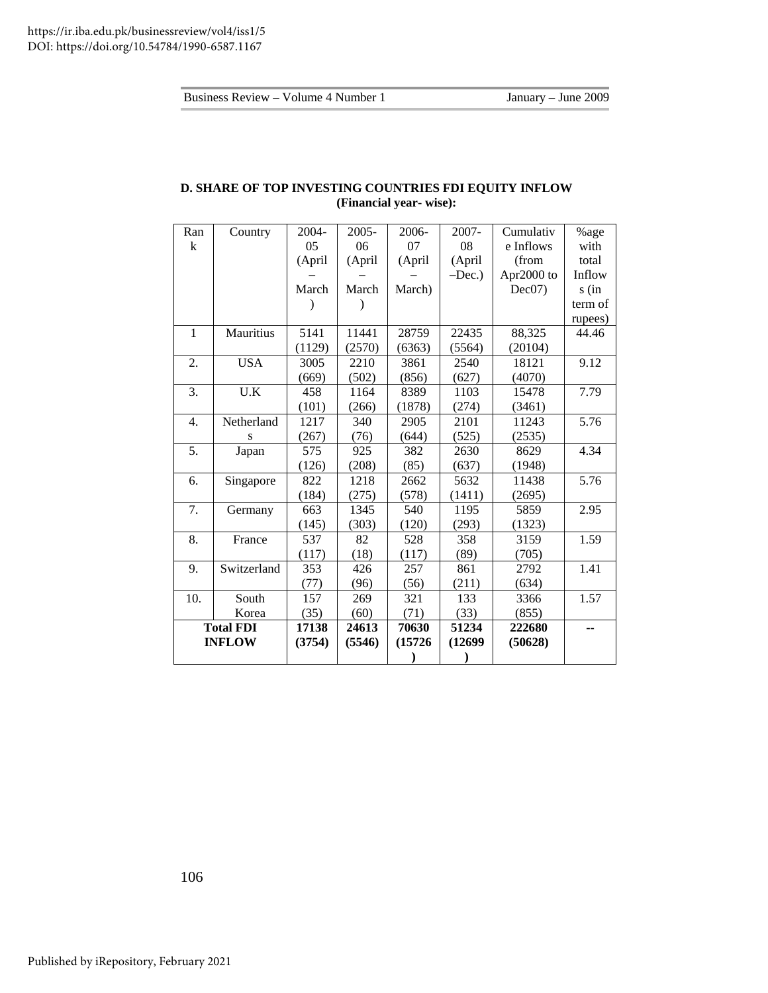| D. SHARE OF TOP INVESTING COUNTRIES FDI EQUITY INFLOW |  |  |  |  |  |
|-------------------------------------------------------|--|--|--|--|--|
| (Financial year- wise):                               |  |  |  |  |  |
|                                                       |  |  |  |  |  |

| Ran          | Country                 | 2004-  | $2005 -$ | 2006-   | 2007-   | Cumulativ  | %age    |
|--------------|-------------------------|--------|----------|---------|---------|------------|---------|
| k            |                         | 05     | 06       | 07      | 08      | e Inflows  | with    |
|              |                         | (April | (April   | (April  | (April  | (from      | total   |
|              |                         |        |          |         | $-Dec.$ | Apr2000 to | Inflow  |
|              |                         | March  | March    | March)  |         | Dec07)     | $s$ (in |
|              |                         |        |          |         |         |            | term of |
|              |                         |        |          |         |         |            | rupees) |
| $\mathbf{1}$ | Mauritius               | 5141   | 11441    | 28759   | 22435   | 88,325     | 44.46   |
|              |                         | (1129) | (2570)   | (6363)  | (5564)  | (20104)    |         |
| 2.           | <b>USA</b>              | 3005   | 2210     | 3861    | 2540    | 18121      | 9.12    |
|              |                         | (669)  | (502)    | (856)   | (627)   | (4070)     |         |
| 3.           | $\mathbf{U}.\mathbf{K}$ | 458    | 1164     | 8389    | 1103    | 15478      | 7.79    |
|              |                         | (101)  | (266)    | (1878)  | (274)   | (3461)     |         |
| 4.           | Netherland              | 1217   | 340      | 2905    | 2101    | 11243      | 5.76    |
|              | S                       | (267)  | (76)     | (644)   | (525)   | (2535)     |         |
| 5.           | Japan                   | 575    | 925      | 382     | 2630    | 8629       | 4.34    |
|              |                         | (126)  | (208)    | (85)    | (637)   | (1948)     |         |
| 6.           | Singapore               | 822    | 1218     | 2662    | 5632    | 11438      | 5.76    |
|              |                         | (184)  | (275)    | (578)   | (1411)  | (2695)     |         |
| 7.           | Germany                 | 663    | 1345     | 540     | 1195    | 5859       | 2.95    |
|              |                         | (145)  | (303)    | (120)   | (293)   | (1323)     |         |
| 8.           | France                  | 537    | 82       | 528     | 358     | 3159       | 1.59    |
|              |                         | (117)  | (18)     | (117)   | (89)    | (705)      |         |
| 9.           | Switzerland             | 353    | 426      | 257     | 861     | 2792       | 1.41    |
|              |                         | (77)   | (96)     | (56)    | (211)   | (634)      |         |
| 10.          | South                   | 157    | 269      | 321     | 133     | 3366       | 1.57    |
|              | Korea                   | (35)   | (60)     | (71)    | (33)    | (855)      |         |
|              | <b>Total FDI</b>        | 17138  | 24613    | 70630   | 51234   | 222680     | --      |
|              | <b>INFLOW</b>           | (3754) | (5546)   | (15726) | (12699) | (50628)    |         |
|              |                         |        |          |         |         |            |         |

106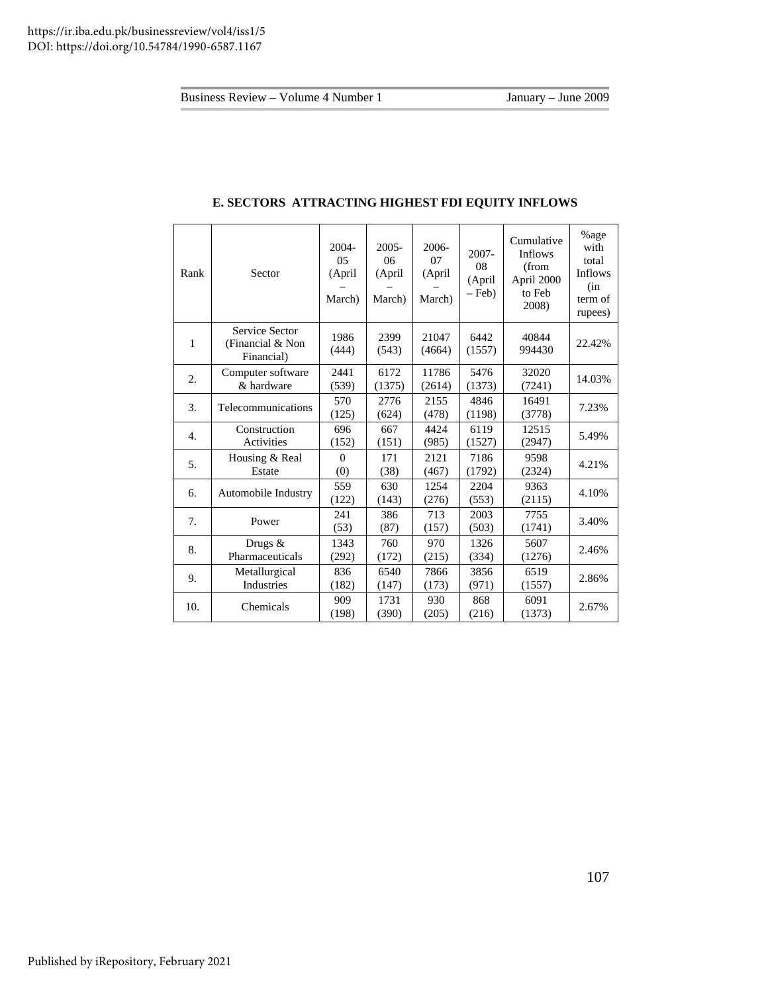| Rank             | Sector                                           | $2004 -$<br>0 <sub>5</sub><br>(April<br>March) | $2005 -$<br>06<br>(April<br>March) | $2006 -$<br>07<br>(April<br>March) | $2007 -$<br>08<br>(April<br>$-$ Feb) | Cumulative<br><b>Inflows</b><br>(from<br>April 2000<br>to Feb<br>2008) | %age<br>with<br>total<br>Inflows<br>(in<br>term of<br>rupees) |
|------------------|--------------------------------------------------|------------------------------------------------|------------------------------------|------------------------------------|--------------------------------------|------------------------------------------------------------------------|---------------------------------------------------------------|
| 1                | Service Sector<br>(Financial & Non<br>Financial) | 1986<br>(444)                                  | 2399<br>(543)                      | 21047<br>(4664)                    | 6442<br>(1557)                       | 40844<br>994430                                                        | 22.42%                                                        |
| 2.               | Computer software<br>& hardware                  | 2441<br>(539)                                  | 6172<br>(1375)                     | 11786<br>(2614)                    | 5476<br>(1373)                       | 32020<br>(7241)                                                        | 14.03%                                                        |
| 3.               | Telecommunications                               | 570<br>(125)                                   | 2776<br>(624)                      | 2155<br>(478)                      | 4846<br>(1198)                       | 16491<br>(3778)                                                        | 7.23%                                                         |
| $\overline{4}$ . | Construction<br>Activities                       | 696<br>(152)                                   | 667<br>(151)                       | 4424<br>(985)                      | 6119<br>(1527)                       | 12515<br>(2947)                                                        | 5.49%                                                         |
| 5.               | Housing & Real<br>Estate                         | $\theta$<br>(0)                                | 171<br>(38)                        | 2121<br>(467)                      | 7186<br>(1792)                       | 9598<br>(2324)                                                         | 4.21%                                                         |
| 6.               | Automobile Industry                              | 559<br>(122)                                   | 630<br>(143)                       | 1254<br>(276)                      | 2204<br>(553)                        | 9363<br>(2115)                                                         | 4.10%                                                         |
| 7.               | Power                                            | 241<br>(53)                                    | 386<br>(87)                        | 713<br>(157)                       | 2003<br>(503)                        | 7755<br>(1741)                                                         | 3.40%                                                         |
| 8.               | Drugs &<br>Pharmaceuticals                       | 1343<br>(292)                                  | 760<br>(172)                       | 970<br>(215)                       | 1326<br>(334)                        | 5607<br>(1276)                                                         | 2.46%                                                         |
| 9.               | Metallurgical<br>Industries                      | 836<br>(182)                                   | 6540<br>(147)                      | 7866<br>(173)                      | 3856<br>(971)                        | 6519<br>(1557)                                                         | 2.86%                                                         |
| 10.              | Chemicals                                        | 909<br>(198)                                   | 1731<br>(390)                      | 930<br>(205)                       | 868<br>(216)                         | 6091<br>(1373)                                                         | 2.67%                                                         |

## **E. SECTORS ATTRACTING HIGHEST FDI EQUITY INFLOWS**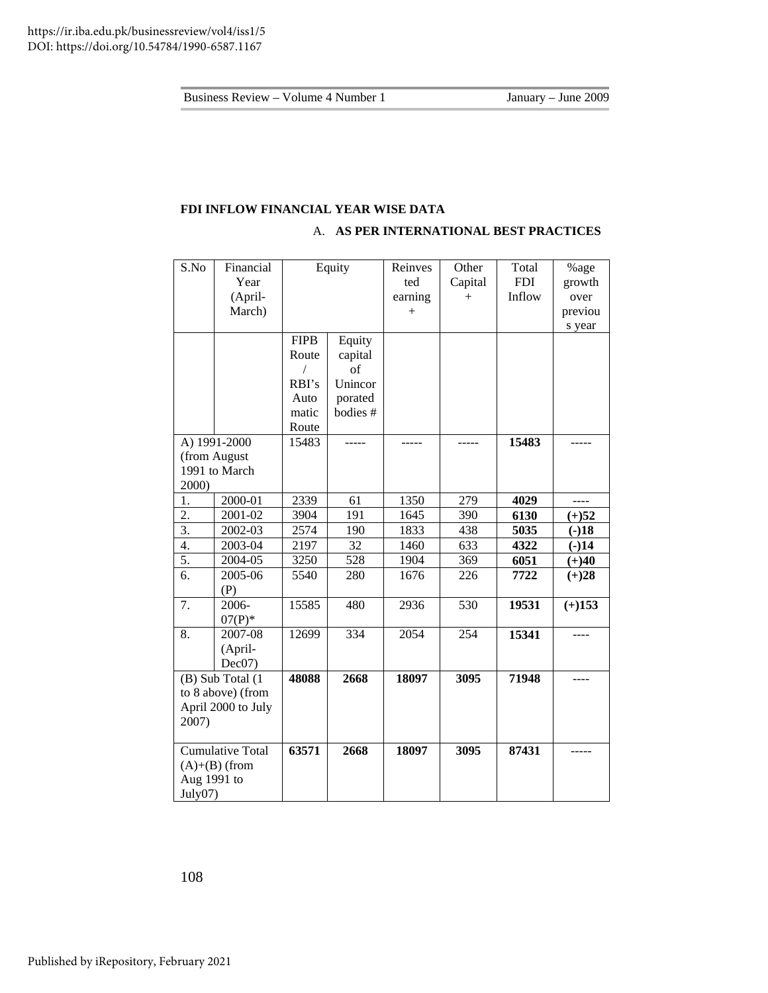## **FDI INFLOW FINANCIAL YEAR WISE DATA**

## A. **AS PER INTERNATIONAL BEST PRACTICES**

| S.No               | Financial               |             | Equity   | Reinves | Other   | Total      | %age     |
|--------------------|-------------------------|-------------|----------|---------|---------|------------|----------|
|                    | Year                    |             |          | ted     | Capital | <b>FDI</b> | growth   |
|                    | (April-                 |             |          | earning | $+$     | Inflow     | over     |
|                    | March)                  |             |          | $^{+}$  |         |            | previou  |
|                    |                         |             |          |         |         |            | s year   |
|                    |                         | <b>FIPB</b> | Equity   |         |         |            |          |
|                    |                         | Route       | capital  |         |         |            |          |
|                    |                         | 7           | of       |         |         |            |          |
|                    |                         | RBI's       | Unincor  |         |         |            |          |
|                    |                         | Auto        | porated  |         |         |            |          |
|                    |                         | matic       | bodies # |         |         |            |          |
|                    |                         | Route       |          |         |         |            |          |
|                    | A) 1991-2000            | 15483       |          |         |         | 15483      |          |
|                    | (from August            |             |          |         |         |            |          |
|                    | 1991 to March           |             |          |         |         |            |          |
| 2000)              |                         |             |          |         |         |            |          |
| 1.                 | 2000-01                 | 2339        | 61       | 1350    | 279     | 4029       | ----     |
| 2.                 | 2001-02                 | 3904        | 191      | 1645    | 390     | 6130       | $(+)52$  |
| $\overline{3}$ .   | 2002-03                 | 2574        | 190      | 1833    | 438     | 5035       | $(-)18$  |
| 4.                 | 2003-04                 | 2197        | 32       | 1460    | 633     | 4322       | $(-)14$  |
| 5.                 | 2004-05                 | 3250        | 528      | 1904    | 369     | 6051       | $(+)40$  |
| 6.                 | 2005-06                 | 5540        | 280      | 1676    | 226     | 7722       | $(+)28$  |
|                    | (P)                     |             |          |         |         |            |          |
| 7.                 | 2006-                   | 15585       | 480      | 2936    | 530     | 19531      | $(+)153$ |
|                    | $07(P)$ *               |             |          |         |         |            |          |
| 8.                 | 2007-08                 | 12699       | 334      | 2054    | 254     | 15341      |          |
|                    | (April-                 |             |          |         |         |            |          |
|                    | Dec07)                  |             |          |         |         |            |          |
|                    | (B) Sub Total (1        | 48088       | 2668     | 18097   | 3095    | 71948      |          |
|                    | to 8 above) (from       |             |          |         |         |            |          |
| April 2000 to July |                         |             |          |         |         |            |          |
| 2007)              |                         |             |          |         |         |            |          |
|                    | <b>Cumulative Total</b> | 63571       | 2668     | 18097   | 3095    | 87431      |          |
|                    | $(A)+(B)$ (from         |             |          |         |         |            |          |
| Aug 1991 to        |                         |             |          |         |         |            |          |
| July07)            |                         |             |          |         |         |            |          |

108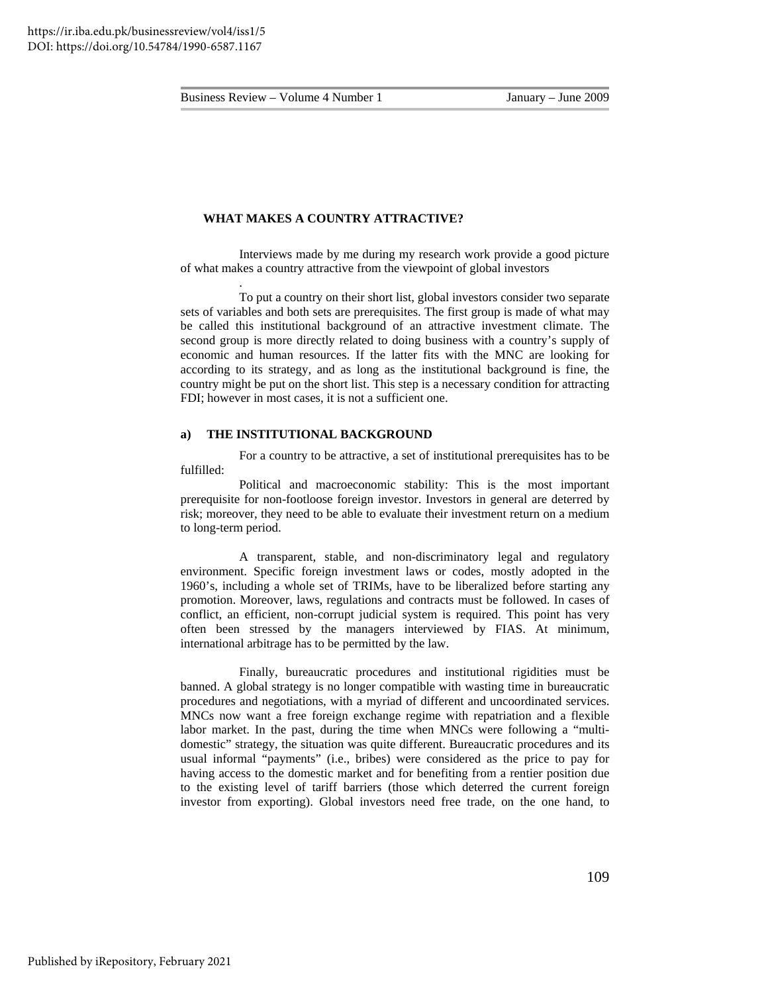.

#### **WHAT MAKES A COUNTRY ATTRACTIVE?**

Interviews made by me during my research work provide a good picture of what makes a country attractive from the viewpoint of global investors

To put a country on their short list, global investors consider two separate sets of variables and both sets are prerequisites. The first group is made of what may be called this institutional background of an attractive investment climate. The second group is more directly related to doing business with a country's supply of economic and human resources. If the latter fits with the MNC are looking for according to its strategy, and as long as the institutional background is fine, the country might be put on the short list. This step is a necessary condition for attracting FDI; however in most cases, it is not a sufficient one.

## **a) THE INSTITUTIONAL BACKGROUND**

For a country to be attractive, a set of institutional prerequisites has to be fulfilled:

Political and macroeconomic stability: This is the most important prerequisite for non-footloose foreign investor. Investors in general are deterred by risk; moreover, they need to be able to evaluate their investment return on a medium to long-term period.

A transparent, stable, and non-discriminatory legal and regulatory environment. Specific foreign investment laws or codes, mostly adopted in the 1960's, including a whole set of TRIMs, have to be liberalized before starting any promotion. Moreover, laws, regulations and contracts must be followed. In cases of conflict, an efficient, non-corrupt judicial system is required. This point has very often been stressed by the managers interviewed by FIAS. At minimum, international arbitrage has to be permitted by the law.

Finally, bureaucratic procedures and institutional rigidities must be banned. A global strategy is no longer compatible with wasting time in bureaucratic procedures and negotiations, with a myriad of different and uncoordinated services. MNCs now want a free foreign exchange regime with repatriation and a flexible labor market. In the past, during the time when MNCs were following a "multidomestic" strategy, the situation was quite different. Bureaucratic procedures and its usual informal "payments" (i.e., bribes) were considered as the price to pay for having access to the domestic market and for benefiting from a rentier position due to the existing level of tariff barriers (those which deterred the current foreign investor from exporting). Global investors need free trade, on the one hand, to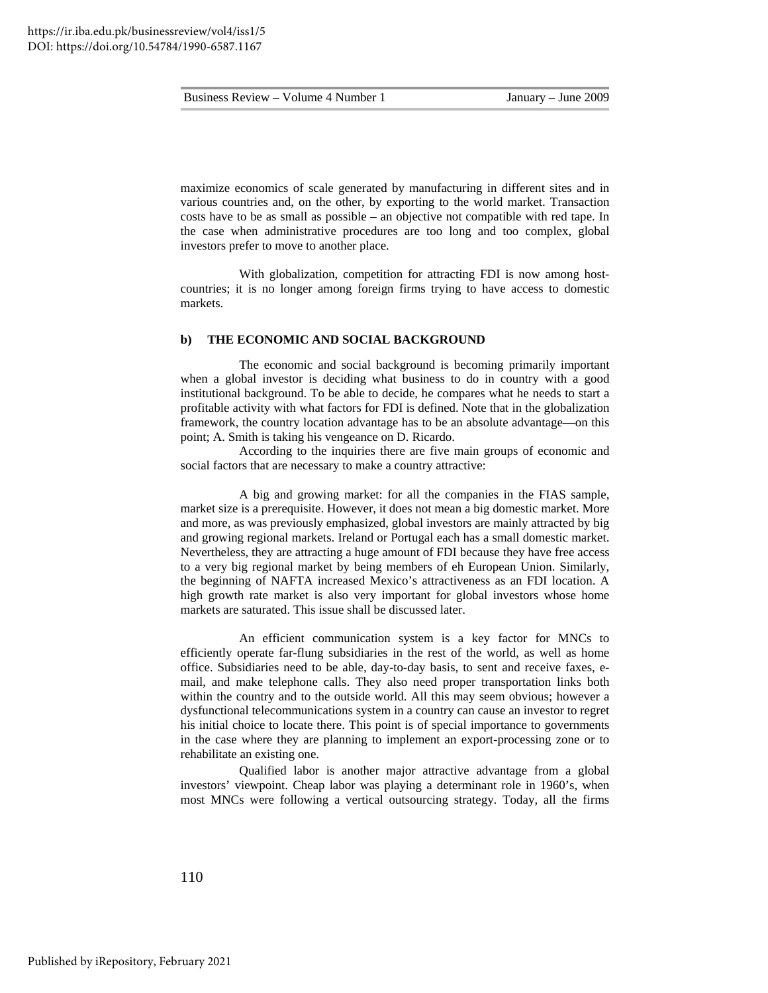maximize economics of scale generated by manufacturing in different sites and in various countries and, on the other, by exporting to the world market. Transaction costs have to be as small as possible – an objective not compatible with red tape. In the case when administrative procedures are too long and too complex, global investors prefer to move to another place.

With globalization, competition for attracting FDI is now among hostcountries; it is no longer among foreign firms trying to have access to domestic markets.

#### **b) THE ECONOMIC AND SOCIAL BACKGROUND**

The economic and social background is becoming primarily important when a global investor is deciding what business to do in country with a good institutional background. To be able to decide, he compares what he needs to start a profitable activity with what factors for FDI is defined. Note that in the globalization framework, the country location advantage has to be an absolute advantage—on this point; A. Smith is taking his vengeance on D. Ricardo.

According to the inquiries there are five main groups of economic and social factors that are necessary to make a country attractive:

A big and growing market: for all the companies in the FIAS sample, market size is a prerequisite. However, it does not mean a big domestic market. More and more, as was previously emphasized, global investors are mainly attracted by big and growing regional markets. Ireland or Portugal each has a small domestic market. Nevertheless, they are attracting a huge amount of FDI because they have free access to a very big regional market by being members of eh European Union. Similarly, the beginning of NAFTA increased Mexico's attractiveness as an FDI location. A high growth rate market is also very important for global investors whose home markets are saturated. This issue shall be discussed later.

An efficient communication system is a key factor for MNCs to efficiently operate far-flung subsidiaries in the rest of the world, as well as home office. Subsidiaries need to be able, day-to-day basis, to sent and receive faxes, email, and make telephone calls. They also need proper transportation links both within the country and to the outside world. All this may seem obvious; however a dysfunctional telecommunications system in a country can cause an investor to regret his initial choice to locate there. This point is of special importance to governments in the case where they are planning to implement an export-processing zone or to rehabilitate an existing one.

Qualified labor is another major attractive advantage from a global investors' viewpoint. Cheap labor was playing a determinant role in 1960's, when most MNCs were following a vertical outsourcing strategy. Today, all the firms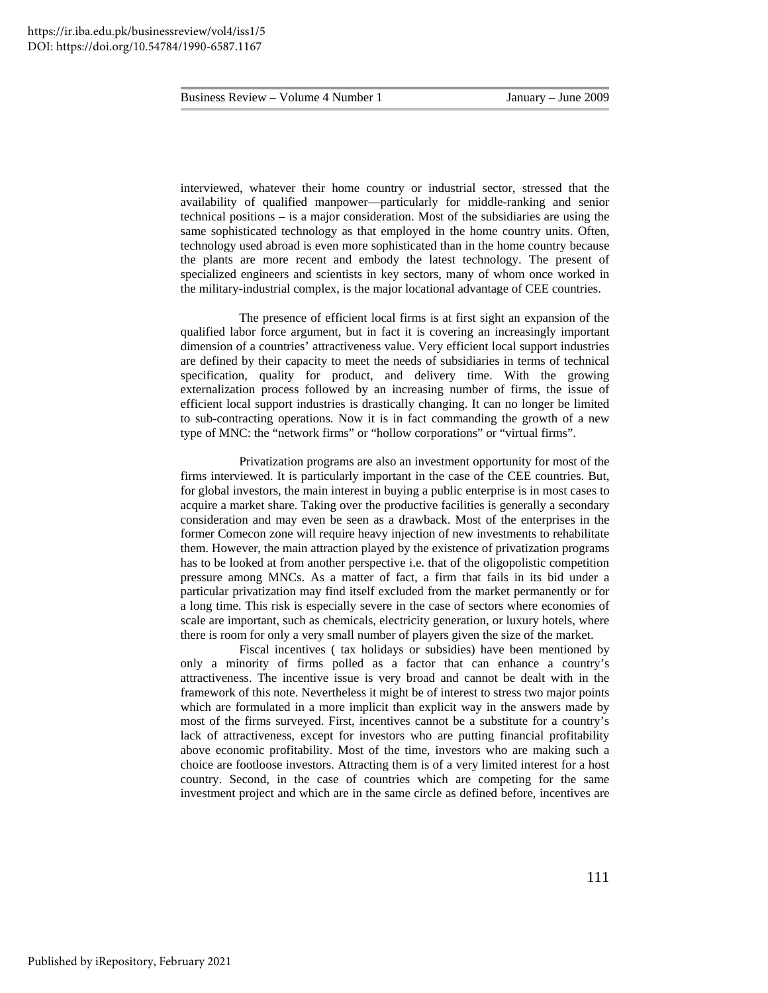interviewed, whatever their home country or industrial sector, stressed that the availability of qualified manpower—particularly for middle-ranking and senior technical positions – is a major consideration. Most of the subsidiaries are using the same sophisticated technology as that employed in the home country units. Often, technology used abroad is even more sophisticated than in the home country because the plants are more recent and embody the latest technology. The present of specialized engineers and scientists in key sectors, many of whom once worked in the military-industrial complex, is the major locational advantage of CEE countries.

The presence of efficient local firms is at first sight an expansion of the qualified labor force argument, but in fact it is covering an increasingly important dimension of a countries' attractiveness value. Very efficient local support industries are defined by their capacity to meet the needs of subsidiaries in terms of technical specification, quality for product, and delivery time. With the growing externalization process followed by an increasing number of firms, the issue of efficient local support industries is drastically changing. It can no longer be limited to sub-contracting operations. Now it is in fact commanding the growth of a new type of MNC: the "network firms" or "hollow corporations" or "virtual firms".

Privatization programs are also an investment opportunity for most of the firms interviewed. It is particularly important in the case of the CEE countries. But, for global investors, the main interest in buying a public enterprise is in most cases to acquire a market share. Taking over the productive facilities is generally a secondary consideration and may even be seen as a drawback. Most of the enterprises in the former Comecon zone will require heavy injection of new investments to rehabilitate them. However, the main attraction played by the existence of privatization programs has to be looked at from another perspective i.e. that of the oligopolistic competition pressure among MNCs. As a matter of fact, a firm that fails in its bid under a particular privatization may find itself excluded from the market permanently or for a long time. This risk is especially severe in the case of sectors where economies of scale are important, such as chemicals, electricity generation, or luxury hotels, where there is room for only a very small number of players given the size of the market.

Fiscal incentives ( tax holidays or subsidies) have been mentioned by only a minority of firms polled as a factor that can enhance a country's attractiveness. The incentive issue is very broad and cannot be dealt with in the framework of this note. Nevertheless it might be of interest to stress two major points which are formulated in a more implicit than explicit way in the answers made by most of the firms surveyed. First, incentives cannot be a substitute for a country's lack of attractiveness, except for investors who are putting financial profitability above economic profitability. Most of the time, investors who are making such a choice are footloose investors. Attracting them is of a very limited interest for a host country. Second, in the case of countries which are competing for the same investment project and which are in the same circle as defined before, incentives are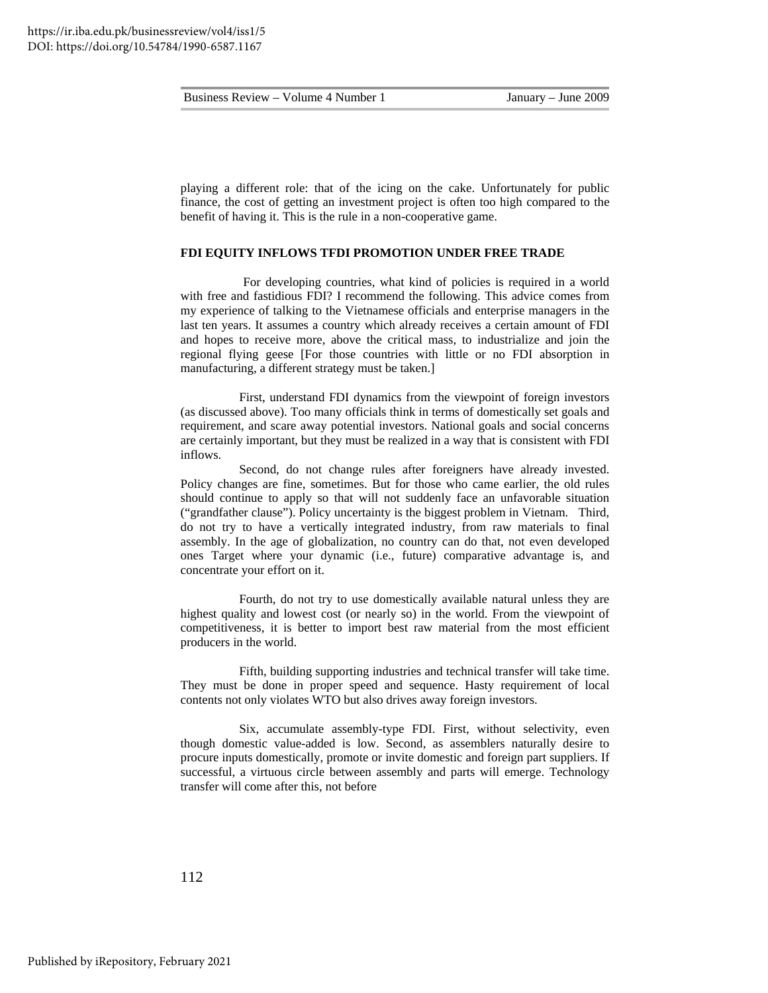playing a different role: that of the icing on the cake. Unfortunately for public finance, the cost of getting an investment project is often too high compared to the benefit of having it. This is the rule in a non-cooperative game.

#### **FDI EQUITY INFLOWS TFDI PROMOTION UNDER FREE TRADE**

For developing countries, what kind of policies is required in a world with free and fastidious FDI? I recommend the following. This advice comes from my experience of talking to the Vietnamese officials and enterprise managers in the last ten years. It assumes a country which already receives a certain amount of FDI and hopes to receive more, above the critical mass, to industrialize and join the regional flying geese [For those countries with little or no FDI absorption in manufacturing, a different strategy must be taken.]

First, understand FDI dynamics from the viewpoint of foreign investors (as discussed above). Too many officials think in terms of domestically set goals and requirement, and scare away potential investors. National goals and social concerns are certainly important, but they must be realized in a way that is consistent with FDI inflows.

Second, do not change rules after foreigners have already invested. Policy changes are fine, sometimes. But for those who came earlier, the old rules should continue to apply so that will not suddenly face an unfavorable situation ("grandfather clause"). Policy uncertainty is the biggest problem in Vietnam. Third, do not try to have a vertically integrated industry, from raw materials to final assembly. In the age of globalization, no country can do that, not even developed ones Target where your dynamic (i.e., future) comparative advantage is, and concentrate your effort on it.

Fourth, do not try to use domestically available natural unless they are highest quality and lowest cost (or nearly so) in the world. From the viewpoint of competitiveness, it is better to import best raw material from the most efficient producers in the world.

Fifth, building supporting industries and technical transfer will take time. They must be done in proper speed and sequence. Hasty requirement of local contents not only violates WTO but also drives away foreign investors.

Six, accumulate assembly-type FDI. First, without selectivity, even though domestic value-added is low. Second, as assemblers naturally desire to procure inputs domestically, promote or invite domestic and foreign part suppliers. If successful, a virtuous circle between assembly and parts will emerge. Technology transfer will come after this, not before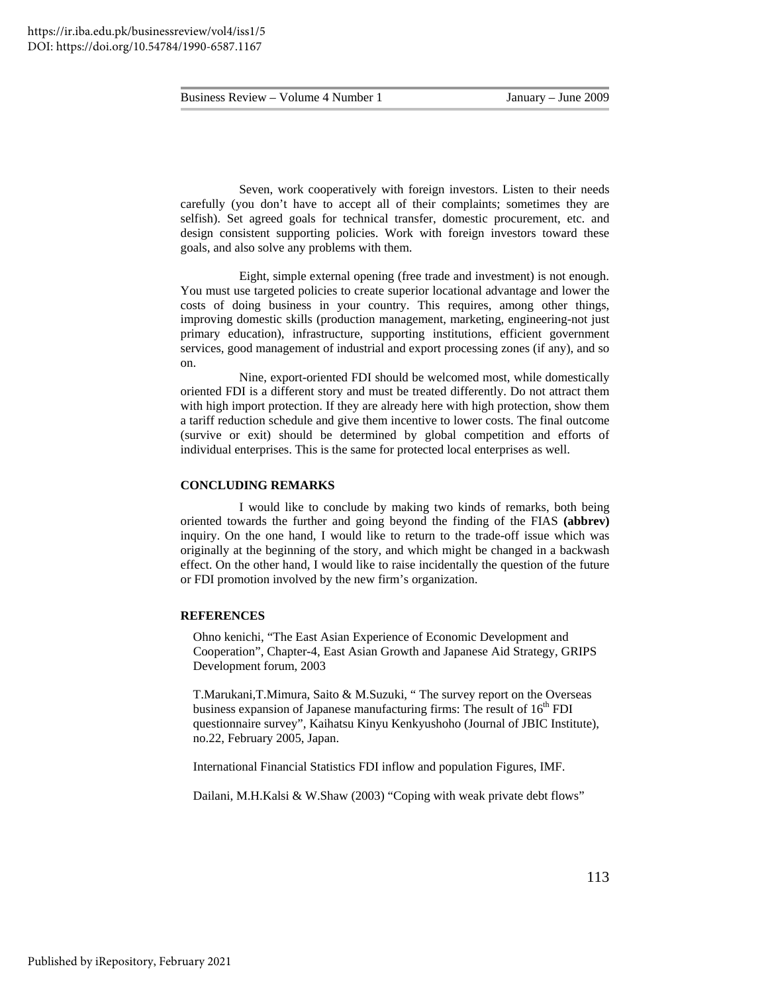Seven, work cooperatively with foreign investors. Listen to their needs carefully (you don't have to accept all of their complaints; sometimes they are selfish). Set agreed goals for technical transfer, domestic procurement, etc. and design consistent supporting policies. Work with foreign investors toward these goals, and also solve any problems with them.

Eight, simple external opening (free trade and investment) is not enough. You must use targeted policies to create superior locational advantage and lower the costs of doing business in your country. This requires, among other things, improving domestic skills (production management, marketing, engineering-not just primary education), infrastructure, supporting institutions, efficient government services, good management of industrial and export processing zones (if any), and so on.

Nine, export-oriented FDI should be welcomed most, while domestically oriented FDI is a different story and must be treated differently. Do not attract them with high import protection. If they are already here with high protection, show them a tariff reduction schedule and give them incentive to lower costs. The final outcome (survive or exit) should be determined by global competition and efforts of individual enterprises. This is the same for protected local enterprises as well.

#### **CONCLUDING REMARKS**

I would like to conclude by making two kinds of remarks, both being oriented towards the further and going beyond the finding of the FIAS **(abbrev)** inquiry. On the one hand, I would like to return to the trade-off issue which was originally at the beginning of the story, and which might be changed in a backwash effect. On the other hand, I would like to raise incidentally the question of the future or FDI promotion involved by the new firm's organization.

#### **REFERENCES**

 Ohno kenichi, "The East Asian Experience of Economic Development and Cooperation", Chapter-4, East Asian Growth and Japanese Aid Strategy, GRIPS Development forum, 2003

 T.Marukani,T.Mimura, Saito & M.Suzuki, " The survey report on the Overseas business expansion of Japanese manufacturing firms: The result of  $16<sup>th</sup>$  FDI questionnaire survey", Kaihatsu Kinyu Kenkyushoho (Journal of JBIC Institute), no.22, February 2005, Japan.

International Financial Statistics FDI inflow and population Figures, IMF.

Dailani, M.H.Kalsi & W.Shaw (2003) "Coping with weak private debt flows"